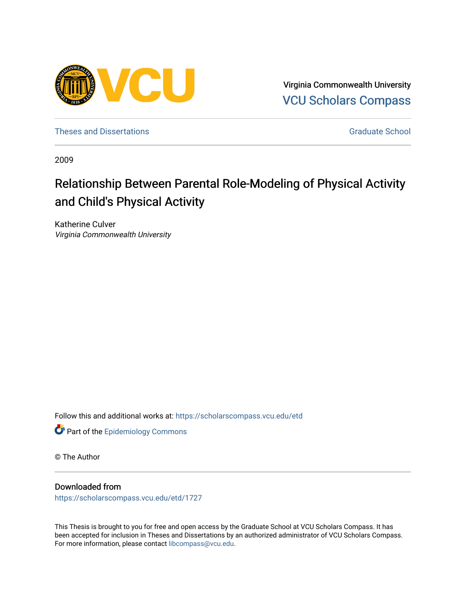

Virginia Commonwealth University [VCU Scholars Compass](https://scholarscompass.vcu.edu/) 

[Theses and Dissertations](https://scholarscompass.vcu.edu/etd) [Graduate School](https://scholarscompass.vcu.edu/gradschool) and Dissertations Graduate School and Dissertations Graduate School and Dissertations Graduate School and Dissertations Graduate School and Dissertations Graduate School and Dissert

2009

# Relationship Between Parental Role-Modeling of Physical Activity and Child's Physical Activity

Katherine Culver Virginia Commonwealth University

Follow this and additional works at: [https://scholarscompass.vcu.edu/etd](https://scholarscompass.vcu.edu/etd?utm_source=scholarscompass.vcu.edu%2Fetd%2F1727&utm_medium=PDF&utm_campaign=PDFCoverPages) 



© The Author

# Downloaded from

[https://scholarscompass.vcu.edu/etd/1727](https://scholarscompass.vcu.edu/etd/1727?utm_source=scholarscompass.vcu.edu%2Fetd%2F1727&utm_medium=PDF&utm_campaign=PDFCoverPages) 

This Thesis is brought to you for free and open access by the Graduate School at VCU Scholars Compass. It has been accepted for inclusion in Theses and Dissertations by an authorized administrator of VCU Scholars Compass. For more information, please contact [libcompass@vcu.edu](mailto:libcompass@vcu.edu).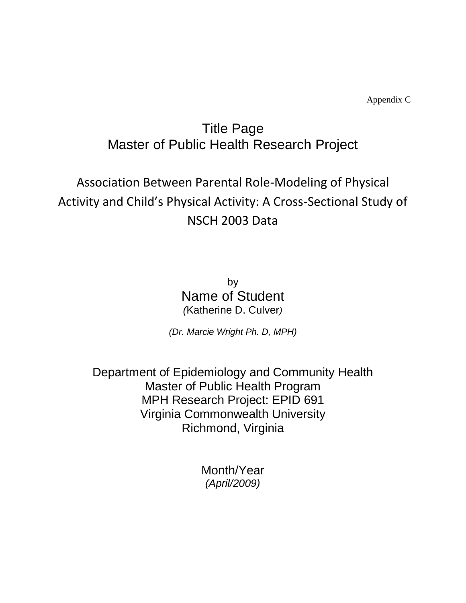Appendix C

# Title Page Master of Public Health Research Project

# Association Between Parental Role-Modeling of Physical Activity and Child's Physical Activity: A Cross-Sectional Study of NSCH 2003 Data

by Name of Student *(*Katherine D. Culver*)*

*(Dr. Marcie Wright Ph. D, MPH)*

Department of Epidemiology and Community Health Master of Public Health Program MPH Research Project: EPID 691 Virginia Commonwealth University Richmond, Virginia

> Month/Year *(April/2009)*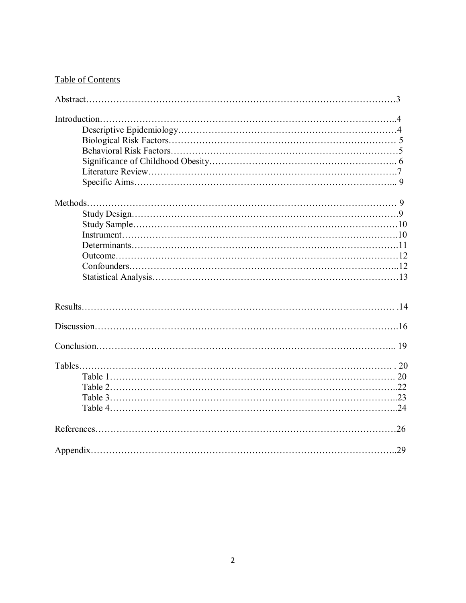# Table of Contents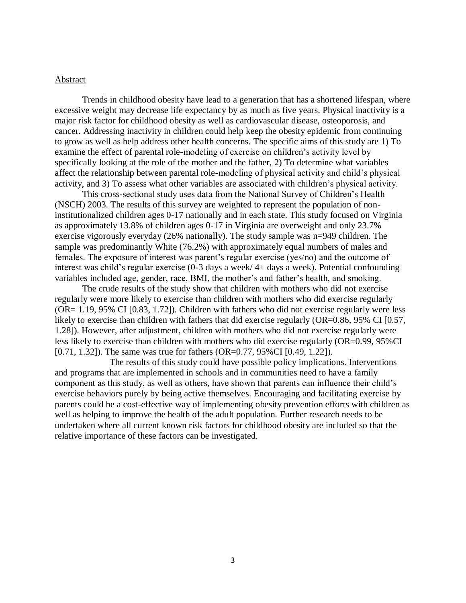# Abstract

Trends in childhood obesity have lead to a generation that has a shortened lifespan, where excessive weight may decrease life expectancy by as much as five years. Physical inactivity is a major risk factor for childhood obesity as well as cardiovascular disease, osteoporosis, and cancer. Addressing inactivity in children could help keep the obesity epidemic from continuing to grow as well as help address other health concerns. The specific aims of this study are 1) To examine the effect of parental role-modeling of exercise on children's activity level by specifically looking at the role of the mother and the father, 2) To determine what variables affect the relationship between parental role-modeling of physical activity and child's physical activity, and 3) To assess what other variables are associated with children's physical activity.

This cross-sectional study uses data from the National Survey of Children's Health (NSCH) 2003. The results of this survey are weighted to represent the population of noninstitutionalized children ages 0-17 nationally and in each state. This study focused on Virginia as approximately 13.8% of children ages 0-17 in Virginia are overweight and only 23.7% exercise vigorously everyday (26% nationally). The study sample was n=949 children. The sample was predominantly White (76.2%) with approximately equal numbers of males and females. The exposure of interest was parent's regular exercise (yes/no) and the outcome of interest was child's regular exercise (0-3 days a week/ 4+ days a week). Potential confounding variables included age, gender, race, BMI, the mother's and father's health, and smoking.

The crude results of the study show that children with mothers who did not exercise regularly were more likely to exercise than children with mothers who did exercise regularly (OR= 1.19, 95% CI [0.83, 1.72]). Children with fathers who did not exercise regularly were less likely to exercise than children with fathers that did exercise regularly (OR=0.86, 95% CI [0.57, 1.28]). However, after adjustment, children with mothers who did not exercise regularly were less likely to exercise than children with mothers who did exercise regularly (OR=0.99, 95%CI [0.71, 1.32]). The same was true for fathers (OR=0.77, 95%CI [0.49, 1.22]).

The results of this study could have possible policy implications. Interventions and programs that are implemented in schools and in communities need to have a family component as this study, as well as others, have shown that parents can influence their child's exercise behaviors purely by being active themselves. Encouraging and facilitating exercise by parents could be a cost-effective way of implementing obesity prevention efforts with children as well as helping to improve the health of the adult population. Further research needs to be undertaken where all current known risk factors for childhood obesity are included so that the relative importance of these factors can be investigated.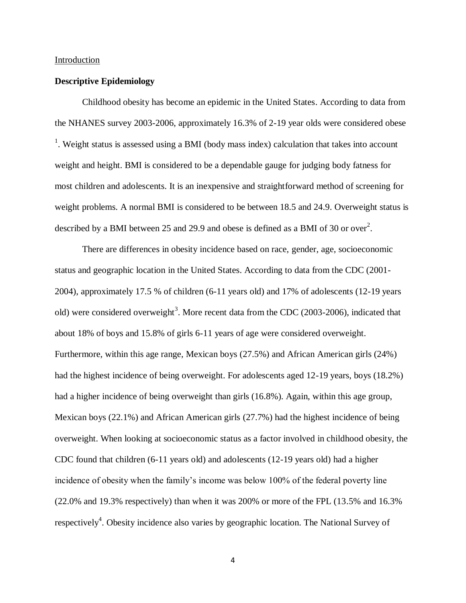### Introduction

# **Descriptive Epidemiology**

Childhood obesity has become an epidemic in the United States. According to data from the NHANES survey 2003-2006, approximately 16.3% of 2-19 year olds were considered obese <sup>1</sup>. Weight status is assessed using a BMI (body mass index) calculation that takes into account weight and height. BMI is considered to be a dependable gauge for judging body fatness for most children and adolescents. It is an inexpensive and straightforward method of screening for weight problems. A normal BMI is considered to be between 18.5 and 24.9. Overweight status is described by a BMI between 25 and 29.9 and obese is defined as a BMI of 30 or over<sup>2</sup>.

There are differences in obesity incidence based on race, gender, age, socioeconomic status and geographic location in the United States. According to data from the CDC (2001- 2004), approximately 17.5 % of children (6-11 years old) and 17% of adolescents (12-19 years old) were considered overweight<sup>3</sup>. More recent data from the CDC (2003-2006), indicated that about 18% of boys and 15.8% of girls 6-11 years of age were considered overweight. Furthermore, within this age range, Mexican boys (27.5%) and African American girls (24%) had the highest incidence of being overweight. For adolescents aged 12-19 years, boys (18.2%) had a higher incidence of being overweight than girls (16.8%). Again, within this age group, Mexican boys (22.1%) and African American girls (27.7%) had the highest incidence of being overweight. When looking at socioeconomic status as a factor involved in childhood obesity, the CDC found that children (6-11 years old) and adolescents (12-19 years old) had a higher incidence of obesity when the family's income was below 100% of the federal poverty line (22.0% and 19.3% respectively) than when it was 200% or more of the FPL (13.5% and 16.3% respectively<sup>4</sup>. Obesity incidence also varies by geographic location. The National Survey of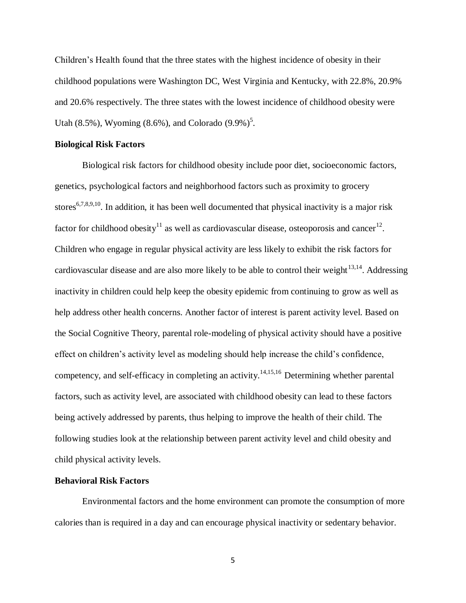Children's Health found that the three states with the highest incidence of obesity in their childhood populations were Washington DC, West Virginia and Kentucky, with 22.8%, 20.9% and 20.6% respectively. The three states with the lowest incidence of childhood obesity were Utah (8.5%), Wyoming (8.6%), and Colorado  $(9.9\%)^5$ .

# **Biological Risk Factors**

Biological risk factors for childhood obesity include poor diet, socioeconomic factors, genetics, psychological factors and neighborhood factors such as proximity to grocery stores<sup>6,7,8,9,10</sup>. In addition, it has been well documented that physical inactivity is a major risk factor for childhood obesity<sup>11</sup> as well as cardiovascular disease, osteoporosis and cancer<sup>12</sup>. Children who engage in regular physical activity are less likely to exhibit the risk factors for cardiovascular disease and are also more likely to be able to control their weight $13,14$ . Addressing inactivity in children could help keep the obesity epidemic from continuing to grow as well as help address other health concerns. Another factor of interest is parent activity level. Based on the Social Cognitive Theory, parental role-modeling of physical activity should have a positive effect on children's activity level as modeling should help increase the child's confidence, competency, and self-efficacy in completing an activity.<sup>14,15,16</sup> Determining whether parental factors, such as activity level, are associated with childhood obesity can lead to these factors being actively addressed by parents, thus helping to improve the health of their child. The following studies look at the relationship between parent activity level and child obesity and child physical activity levels.

## **Behavioral Risk Factors**

Environmental factors and the home environment can promote the consumption of more calories than is required in a day and can encourage physical inactivity or sedentary behavior.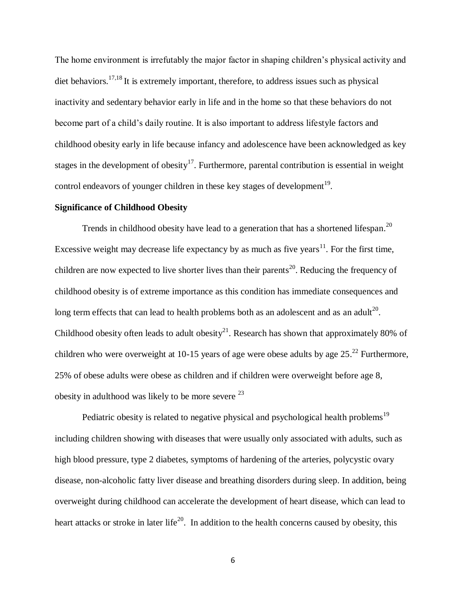The home environment is irrefutably the major factor in shaping children's physical activity and diet behaviors.<sup>17,18</sup> It is extremely important, therefore, to address issues such as physical inactivity and sedentary behavior early in life and in the home so that these behaviors do not become part of a child's daily routine. It is also important to address lifestyle factors and childhood obesity early in life because infancy and adolescence have been acknowledged as key stages in the development of obesity<sup>17</sup>. Furthermore, parental contribution is essential in weight control endeavors of younger children in these key stages of development $^{19}$ .

# **Significance of Childhood Obesity**

Trends in childhood obesity have lead to a generation that has a shortened lifespan.<sup>20</sup> Excessive weight may decrease life expectancy by as much as five years<sup>11</sup>. For the first time, children are now expected to live shorter lives than their parents<sup>20</sup>. Reducing the frequency of childhood obesity is of extreme importance as this condition has immediate consequences and long term effects that can lead to health problems both as an adolescent and as an adult<sup>20</sup>. Childhood obesity often leads to adult obesity<sup>21</sup>. Research has shown that approximately 80% of children who were overweight at 10-15 years of age were obese adults by age  $25.^{22}$  Furthermore, 25% of obese adults were obese as children and if children were overweight before age 8, obesity in adulthood was likely to be more severe  $^{23}$ 

Pediatric obesity is related to negative physical and psychological health problems<sup>19</sup> including children showing with diseases that were usually only associated with adults, such as high blood pressure, type 2 diabetes, symptoms of hardening of the arteries, polycystic ovary disease, non-alcoholic fatty liver disease and breathing disorders during sleep. In addition, being overweight during childhood can accelerate the development of heart disease, which can lead to heart attacks or stroke in later life<sup>20</sup>. In addition to the health concerns caused by obesity, this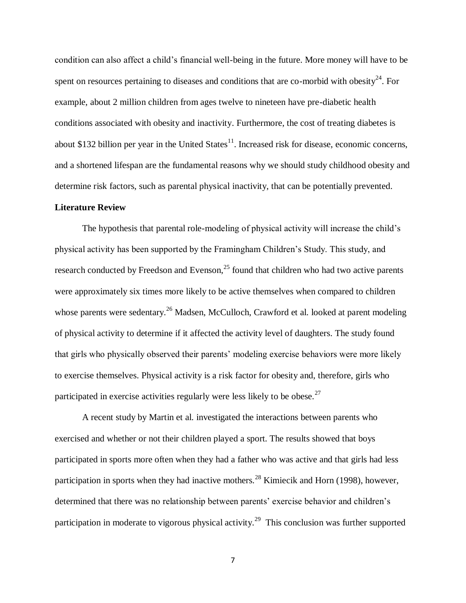condition can also affect a child's financial well-being in the future. More money will have to be spent on resources pertaining to diseases and conditions that are co-morbid with obesity<sup>24</sup>. For example, about 2 million children from ages twelve to nineteen have pre-diabetic health conditions associated with obesity and inactivity. Furthermore, the cost of treating diabetes is about \$132 billion per year in the United States $^{11}$ . Increased risk for disease, economic concerns, and a shortened lifespan are the fundamental reasons why we should study childhood obesity and determine risk factors, such as parental physical inactivity, that can be potentially prevented.

# **Literature Review**

The hypothesis that parental role-modeling of physical activity will increase the child's physical activity has been supported by the Framingham Children's Study. This study, and research conducted by Freedson and Evenson, $25$  found that children who had two active parents were approximately six times more likely to be active themselves when compared to children whose parents were sedentary.<sup>26</sup> Madsen, McCulloch, Crawford et al. looked at parent modeling of physical activity to determine if it affected the activity level of daughters. The study found that girls who physically observed their parents' modeling exercise behaviors were more likely to exercise themselves. Physical activity is a risk factor for obesity and, therefore, girls who participated in exercise activities regularly were less likely to be obese.<sup>27</sup>

A recent study by Martin et al. investigated the interactions between parents who exercised and whether or not their children played a sport. The results showed that boys participated in sports more often when they had a father who was active and that girls had less participation in sports when they had inactive mothers.<sup>28</sup> Kimiecik and Horn (1998), however, determined that there was no relationship between parents' exercise behavior and children's participation in moderate to vigorous physical activity.<sup>29</sup> This conclusion was further supported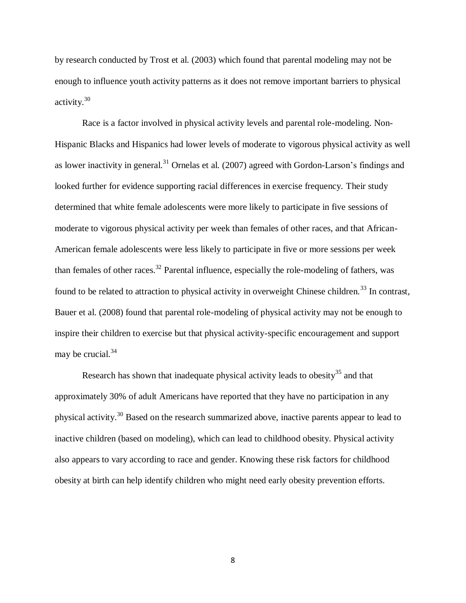by research conducted by Trost et al. (2003) which found that parental modeling may not be enough to influence youth activity patterns as it does not remove important barriers to physical activity.<sup>30</sup>

Race is a factor involved in physical activity levels and parental role-modeling. Non-Hispanic Blacks and Hispanics had lower levels of moderate to vigorous physical activity as well as lower inactivity in general.<sup>31</sup> Ornelas et al.  $(2007)$  agreed with Gordon-Larson's findings and looked further for evidence supporting racial differences in exercise frequency. Their study determined that white female adolescents were more likely to participate in five sessions of moderate to vigorous physical activity per week than females of other races, and that African-American female adolescents were less likely to participate in five or more sessions per week than females of other races.<sup>32</sup> Parental influence, especially the role-modeling of fathers, was found to be related to attraction to physical activity in overweight Chinese children.<sup>33</sup> In contrast, Bauer et al. (2008) found that parental role-modeling of physical activity may not be enough to inspire their children to exercise but that physical activity-specific encouragement and support may be crucial.<sup>34</sup>

Research has shown that inadequate physical activity leads to obesity<sup>35</sup> and that approximately 30% of adult Americans have reported that they have no participation in any physical activity.<sup>30</sup> Based on the research summarized above, inactive parents appear to lead to inactive children (based on modeling), which can lead to childhood obesity. Physical activity also appears to vary according to race and gender. Knowing these risk factors for childhood obesity at birth can help identify children who might need early obesity prevention efforts.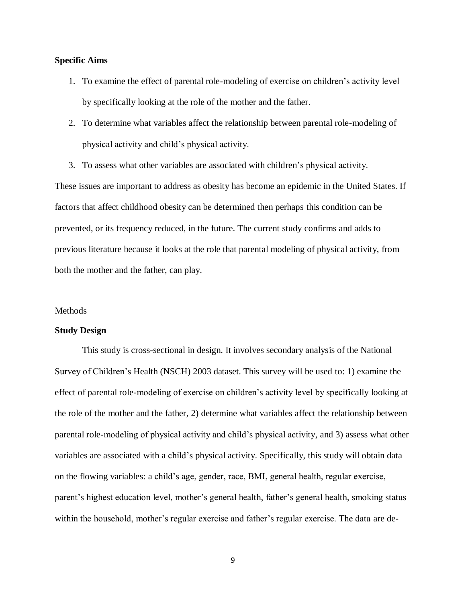# **Specific Aims**

- 1. To examine the effect of parental role-modeling of exercise on children's activity level by specifically looking at the role of the mother and the father.
- 2. To determine what variables affect the relationship between parental role-modeling of physical activity and child's physical activity.
- 3. To assess what other variables are associated with children's physical activity.

These issues are important to address as obesity has become an epidemic in the United States. If factors that affect childhood obesity can be determined then perhaps this condition can be prevented, or its frequency reduced, in the future. The current study confirms and adds to previous literature because it looks at the role that parental modeling of physical activity, from both the mother and the father, can play.

## Methods

# **Study Design**

This study is cross-sectional in design. It involves secondary analysis of the National Survey of Children's Health (NSCH) 2003 dataset. This survey will be used to: 1) examine the effect of parental role-modeling of exercise on children's activity level by specifically looking at the role of the mother and the father, 2) determine what variables affect the relationship between parental role-modeling of physical activity and child's physical activity, and 3) assess what other variables are associated with a child's physical activity. Specifically, this study will obtain data on the flowing variables: a child's age, gender, race, BMI, general health, regular exercise, parent's highest education level, mother's general health, father's general health, smoking status within the household, mother's regular exercise and father's regular exercise. The data are de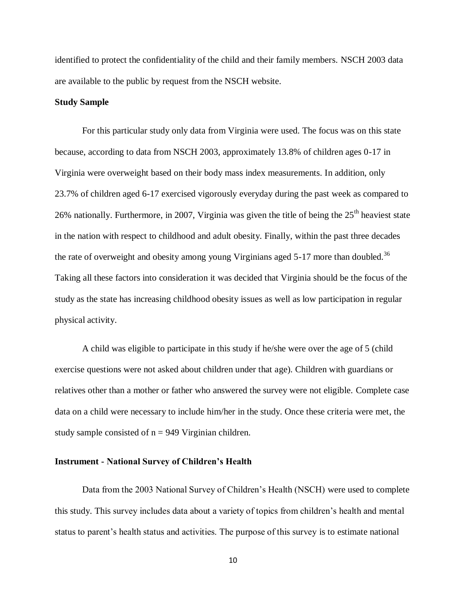identified to protect the confidentiality of the child and their family members. NSCH 2003 data are available to the public by request from the NSCH website.

# **Study Sample**

For this particular study only data from Virginia were used. The focus was on this state because, according to data from NSCH 2003, approximately 13.8% of children ages 0-17 in Virginia were overweight based on their body mass index measurements. In addition, only 23.7% of children aged 6-17 exercised vigorously everyday during the past week as compared to 26% nationally. Furthermore, in 2007, Virginia was given the title of being the  $25<sup>th</sup>$  heaviest state in the nation with respect to childhood and adult obesity. Finally, within the past three decades the rate of overweight and obesity among young Virginians aged 5-17 more than doubled.<sup>36</sup> Taking all these factors into consideration it was decided that Virginia should be the focus of the study as the state has increasing childhood obesity issues as well as low participation in regular physical activity.

A child was eligible to participate in this study if he/she were over the age of 5 (child exercise questions were not asked about children under that age). Children with guardians or relatives other than a mother or father who answered the survey were not eligible. Complete case data on a child were necessary to include him/her in the study. Once these criteria were met, the study sample consisted of  $n = 949$  Virginian children.

# **Instrument - National Survey of Children's Health**

Data from the 2003 National Survey of Children's Health (NSCH) were used to complete this study. This survey includes data about a variety of topics from children's health and mental status to parent's health status and activities. The purpose of this survey is to estimate national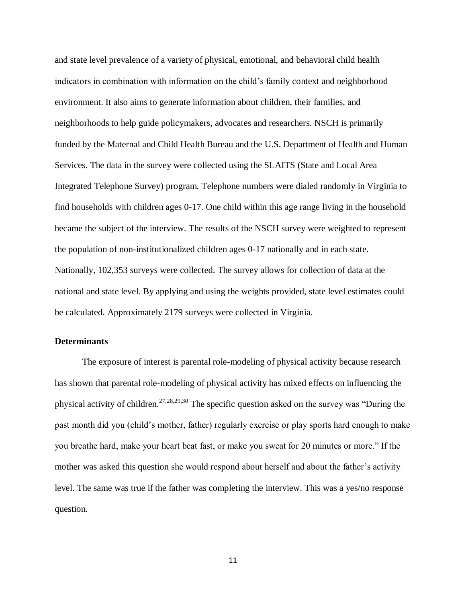and state level prevalence of a variety of physical, emotional, and behavioral child health indicators in combination with information on the child's family context and neighborhood environment. It also aims to generate information about children, their families, and neighborhoods to help guide policymakers, advocates and researchers. NSCH is primarily funded by the Maternal and Child Health Bureau and the U.S. Department of Health and Human Services. The data in the survey were collected using the SLAITS (State and Local Area Integrated Telephone Survey) program. Telephone numbers were dialed randomly in Virginia to find households with children ages 0-17. One child within this age range living in the household became the subject of the interview. The results of the NSCH survey were weighted to represent the population of non-institutionalized children ages 0-17 nationally and in each state. Nationally, 102,353 surveys were collected. The survey allows for collection of data at the national and state level. By applying and using the weights provided, state level estimates could be calculated. Approximately 2179 surveys were collected in Virginia.

# **Determinants**

The exposure of interest is parental role-modeling of physical activity because research has shown that parental role-modeling of physical activity has mixed effects on influencing the physical activity of children.<sup>27,28,29,30</sup> The specific question asked on the survey was "During the past month did you (child's mother, father) regularly exercise or play sports hard enough to make you breathe hard, make your heart beat fast, or make you sweat for 20 minutes or more." If the mother was asked this question she would respond about herself and about the father's activity level. The same was true if the father was completing the interview. This was a yes/no response question.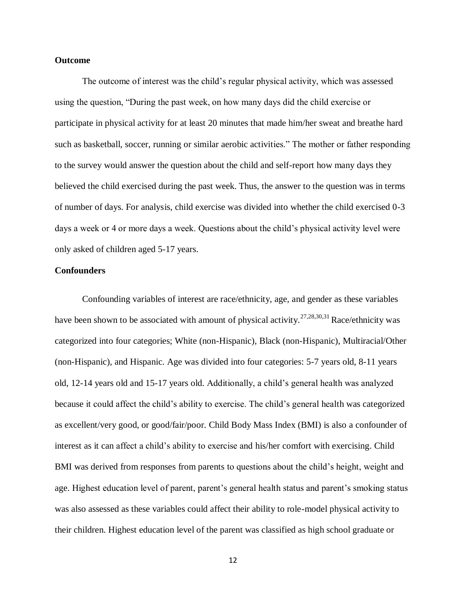# **Outcome**

The outcome of interest was the child's regular physical activity, which was assessed using the question, "During the past week, on how many days did the child exercise or participate in physical activity for at least 20 minutes that made him/her sweat and breathe hard such as basketball, soccer, running or similar aerobic activities." The mother or father responding to the survey would answer the question about the child and self-report how many days they believed the child exercised during the past week. Thus, the answer to the question was in terms of number of days. For analysis, child exercise was divided into whether the child exercised 0-3 days a week or 4 or more days a week. Questions about the child's physical activity level were only asked of children aged 5-17 years.

# **Confounders**

Confounding variables of interest are race/ethnicity, age, and gender as these variables have been shown to be associated with amount of physical activity.<sup>27,28,30,31</sup> Race/ethnicity was categorized into four categories; White (non-Hispanic), Black (non-Hispanic), Multiracial/Other (non-Hispanic), and Hispanic. Age was divided into four categories: 5-7 years old, 8-11 years old, 12-14 years old and 15-17 years old. Additionally, a child's general health was analyzed because it could affect the child's ability to exercise. The child's general health was categorized as excellent/very good, or good/fair/poor. Child Body Mass Index (BMI) is also a confounder of interest as it can affect a child's ability to exercise and his/her comfort with exercising. Child BMI was derived from responses from parents to questions about the child's height, weight and age. Highest education level of parent, parent's general health status and parent's smoking status was also assessed as these variables could affect their ability to role-model physical activity to their children. Highest education level of the parent was classified as high school graduate or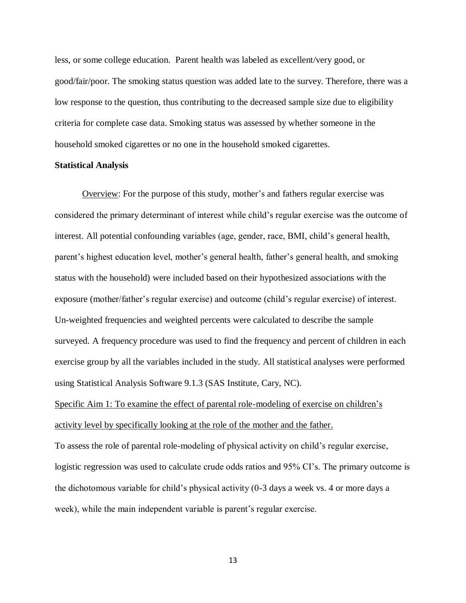less, or some college education. Parent health was labeled as excellent/very good, or good/fair/poor. The smoking status question was added late to the survey. Therefore, there was a low response to the question, thus contributing to the decreased sample size due to eligibility criteria for complete case data. Smoking status was assessed by whether someone in the household smoked cigarettes or no one in the household smoked cigarettes.

# **Statistical Analysis**

Overview: For the purpose of this study, mother's and fathers regular exercise was considered the primary determinant of interest while child's regular exercise was the outcome of interest. All potential confounding variables (age, gender, race, BMI, child's general health, parent's highest education level, mother's general health, father's general health, and smoking status with the household) were included based on their hypothesized associations with the exposure (mother/father's regular exercise) and outcome (child's regular exercise) of interest. Un-weighted frequencies and weighted percents were calculated to describe the sample surveyed. A frequency procedure was used to find the frequency and percent of children in each exercise group by all the variables included in the study. All statistical analyses were performed using Statistical Analysis Software 9.1.3 (SAS Institute, Cary, NC).

Specific Aim 1: To examine the effect of parental role-modeling of exercise on children's activity level by specifically looking at the role of the mother and the father.

To assess the role of parental role-modeling of physical activity on child's regular exercise, logistic regression was used to calculate crude odds ratios and 95% CI's. The primary outcome is the dichotomous variable for child's physical activity (0-3 days a week vs. 4 or more days a week), while the main independent variable is parent's regular exercise.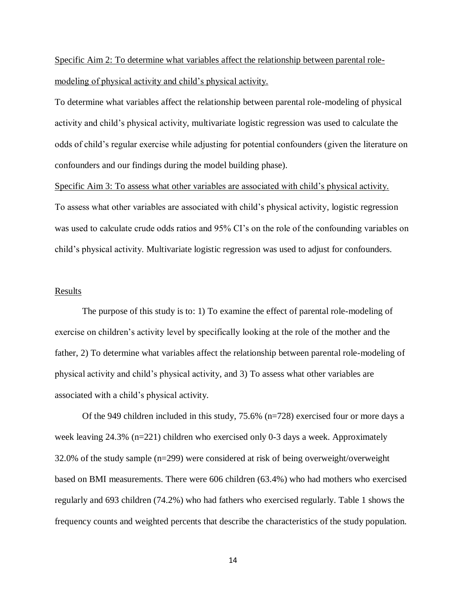# Specific Aim 2: To determine what variables affect the relationship between parental rolemodeling of physical activity and child's physical activity.

To determine what variables affect the relationship between parental role-modeling of physical activity and child's physical activity, multivariate logistic regression was used to calculate the odds of child's regular exercise while adjusting for potential confounders (given the literature on confounders and our findings during the model building phase).

## Specific Aim 3: To assess what other variables are associated with child's physical activity.

To assess what other variables are associated with child's physical activity, logistic regression was used to calculate crude odds ratios and 95% CI's on the role of the confounding variables on child's physical activity. Multivariate logistic regression was used to adjust for confounders.

# Results

The purpose of this study is to: 1) To examine the effect of parental role-modeling of exercise on children's activity level by specifically looking at the role of the mother and the father, 2) To determine what variables affect the relationship between parental role-modeling of physical activity and child's physical activity, and 3) To assess what other variables are associated with a child's physical activity.

Of the 949 children included in this study, 75.6% (n=728) exercised four or more days a week leaving 24.3% (n=221) children who exercised only 0-3 days a week. Approximately 32.0% of the study sample (n=299) were considered at risk of being overweight/overweight based on BMI measurements. There were 606 children (63.4%) who had mothers who exercised regularly and 693 children (74.2%) who had fathers who exercised regularly. Table 1 shows the frequency counts and weighted percents that describe the characteristics of the study population.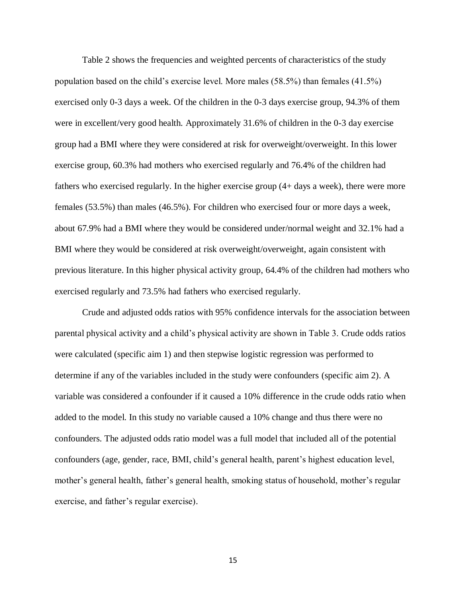Table 2 shows the frequencies and weighted percents of characteristics of the study population based on the child's exercise level. More males (58.5%) than females (41.5%) exercised only 0-3 days a week. Of the children in the 0-3 days exercise group, 94.3% of them were in excellent/very good health. Approximately 31.6% of children in the 0-3 day exercise group had a BMI where they were considered at risk for overweight/overweight. In this lower exercise group, 60.3% had mothers who exercised regularly and 76.4% of the children had fathers who exercised regularly. In the higher exercise group (4+ days a week), there were more females (53.5%) than males (46.5%). For children who exercised four or more days a week, about 67.9% had a BMI where they would be considered under/normal weight and 32.1% had a BMI where they would be considered at risk overweight/overweight, again consistent with previous literature. In this higher physical activity group, 64.4% of the children had mothers who exercised regularly and 73.5% had fathers who exercised regularly.

Crude and adjusted odds ratios with 95% confidence intervals for the association between parental physical activity and a child's physical activity are shown in Table 3. Crude odds ratios were calculated (specific aim 1) and then stepwise logistic regression was performed to determine if any of the variables included in the study were confounders (specific aim 2). A variable was considered a confounder if it caused a 10% difference in the crude odds ratio when added to the model. In this study no variable caused a 10% change and thus there were no confounders. The adjusted odds ratio model was a full model that included all of the potential confounders (age, gender, race, BMI, child's general health, parent's highest education level, mother's general health, father's general health, smoking status of household, mother's regular exercise, and father's regular exercise).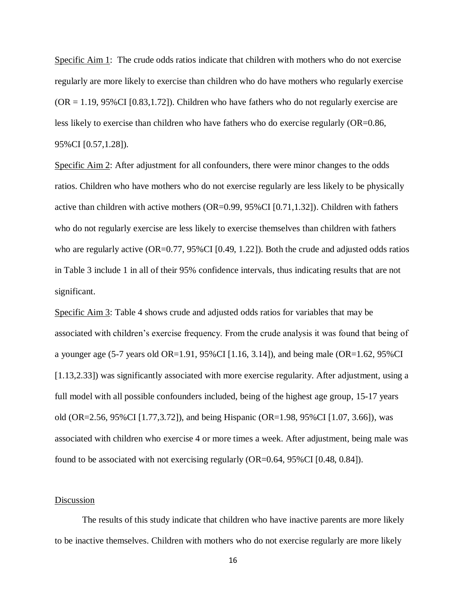Specific Aim 1: The crude odds ratios indicate that children with mothers who do not exercise regularly are more likely to exercise than children who do have mothers who regularly exercise  $(OR = 1.19, 95\% CI [0.83, 1.72])$ . Children who have fathers who do not regularly exercise are less likely to exercise than children who have fathers who do exercise regularly (OR=0.86, 95%CI [0.57,1.28]).

Specific Aim 2: After adjustment for all confounders, there were minor changes to the odds ratios. Children who have mothers who do not exercise regularly are less likely to be physically active than children with active mothers (OR=0.99, 95%CI [0.71,1.32]). Children with fathers who do not regularly exercise are less likely to exercise themselves than children with fathers who are regularly active (OR=0.77, 95%CI [0.49, 1.22]). Both the crude and adjusted odds ratios in Table 3 include 1 in all of their 95% confidence intervals, thus indicating results that are not significant.

Specific Aim 3: Table 4 shows crude and adjusted odds ratios for variables that may be associated with children's exercise frequency. From the crude analysis it was found that being of a younger age (5-7 years old OR=1.91, 95%CI [1.16, 3.14]), and being male (OR=1.62, 95%CI [1.13,2.33]) was significantly associated with more exercise regularity. After adjustment, using a full model with all possible confounders included, being of the highest age group, 15-17 years old (OR=2.56, 95%CI [1.77,3.72]), and being Hispanic (OR=1.98, 95%CI [1.07, 3.66]), was associated with children who exercise 4 or more times a week. After adjustment, being male was found to be associated with not exercising regularly (OR=0.64, 95%CI [0.48, 0.84]).

# Discussion

The results of this study indicate that children who have inactive parents are more likely to be inactive themselves. Children with mothers who do not exercise regularly are more likely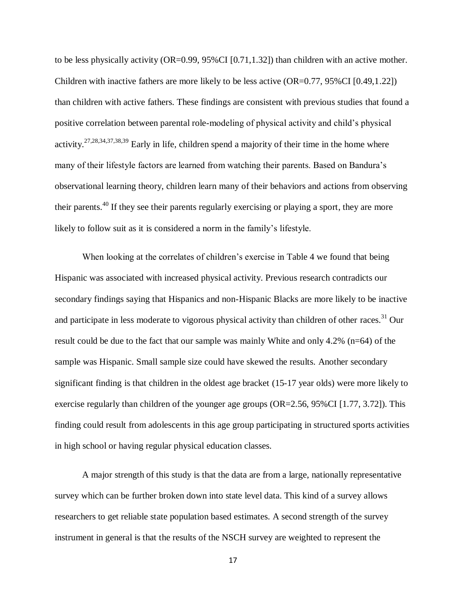to be less physically activity  $(OR=0.99, 95\% CI [0.71, 1.32])$  than children with an active mother. Children with inactive fathers are more likely to be less active (OR=0.77, 95%CI [0.49,1.22]) than children with active fathers. These findings are consistent with previous studies that found a positive correlation between parental role-modeling of physical activity and child's physical activity.<sup>27,28,34,37,38,39</sup> Early in life, children spend a majority of their time in the home where many of their lifestyle factors are learned from watching their parents. Based on Bandura's observational learning theory, children learn many of their behaviors and actions from observing their parents.<sup>40</sup> If they see their parents regularly exercising or playing a sport, they are more likely to follow suit as it is considered a norm in the family's lifestyle.

When looking at the correlates of children's exercise in Table 4 we found that being Hispanic was associated with increased physical activity. Previous research contradicts our secondary findings saying that Hispanics and non-Hispanic Blacks are more likely to be inactive and participate in less moderate to vigorous physical activity than children of other races.<sup>31</sup> Our result could be due to the fact that our sample was mainly White and only 4.2% (n=64) of the sample was Hispanic. Small sample size could have skewed the results. Another secondary significant finding is that children in the oldest age bracket (15-17 year olds) were more likely to exercise regularly than children of the younger age groups  $(OR=2.56, 95\% CI [1.77, 3.72])$ . This finding could result from adolescents in this age group participating in structured sports activities in high school or having regular physical education classes.

A major strength of this study is that the data are from a large, nationally representative survey which can be further broken down into state level data. This kind of a survey allows researchers to get reliable state population based estimates. A second strength of the survey instrument in general is that the results of the NSCH survey are weighted to represent the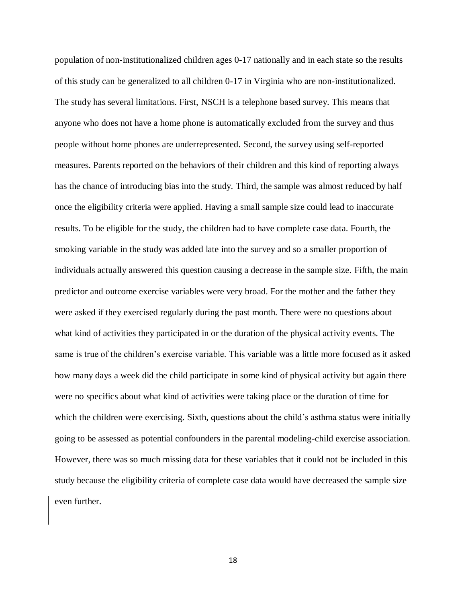population of non-institutionalized children ages 0-17 nationally and in each state so the results of this study can be generalized to all children 0-17 in Virginia who are non-institutionalized. The study has several limitations. First, NSCH is a telephone based survey. This means that anyone who does not have a home phone is automatically excluded from the survey and thus people without home phones are underrepresented. Second, the survey using self-reported measures. Parents reported on the behaviors of their children and this kind of reporting always has the chance of introducing bias into the study. Third, the sample was almost reduced by half once the eligibility criteria were applied. Having a small sample size could lead to inaccurate results. To be eligible for the study, the children had to have complete case data. Fourth, the smoking variable in the study was added late into the survey and so a smaller proportion of individuals actually answered this question causing a decrease in the sample size. Fifth, the main predictor and outcome exercise variables were very broad. For the mother and the father they were asked if they exercised regularly during the past month. There were no questions about what kind of activities they participated in or the duration of the physical activity events. The same is true of the children's exercise variable. This variable was a little more focused as it asked how many days a week did the child participate in some kind of physical activity but again there were no specifics about what kind of activities were taking place or the duration of time for which the children were exercising. Sixth, questions about the child's asthma status were initially going to be assessed as potential confounders in the parental modeling-child exercise association. However, there was so much missing data for these variables that it could not be included in this study because the eligibility criteria of complete case data would have decreased the sample size even further.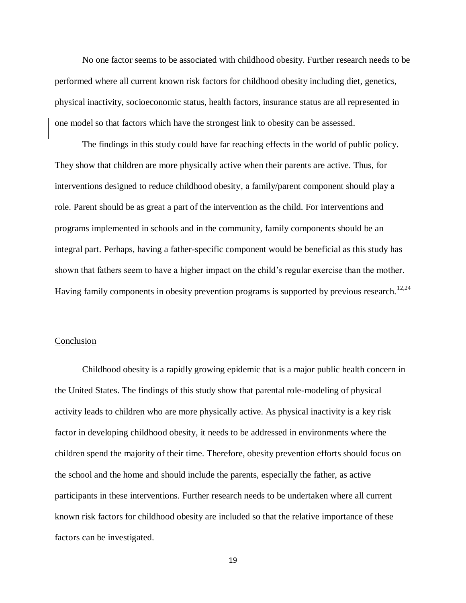No one factor seems to be associated with childhood obesity. Further research needs to be performed where all current known risk factors for childhood obesity including diet, genetics, physical inactivity, socioeconomic status, health factors, insurance status are all represented in one model so that factors which have the strongest link to obesity can be assessed.

The findings in this study could have far reaching effects in the world of public policy. They show that children are more physically active when their parents are active. Thus, for interventions designed to reduce childhood obesity, a family/parent component should play a role. Parent should be as great a part of the intervention as the child. For interventions and programs implemented in schools and in the community, family components should be an integral part. Perhaps, having a father-specific component would be beneficial as this study has shown that fathers seem to have a higher impact on the child's regular exercise than the mother. Having family components in obesity prevention programs is supported by previous research.<sup>12,24</sup>

# Conclusion

Childhood obesity is a rapidly growing epidemic that is a major public health concern in the United States. The findings of this study show that parental role-modeling of physical activity leads to children who are more physically active. As physical inactivity is a key risk factor in developing childhood obesity, it needs to be addressed in environments where the children spend the majority of their time. Therefore, obesity prevention efforts should focus on the school and the home and should include the parents, especially the father, as active participants in these interventions. Further research needs to be undertaken where all current known risk factors for childhood obesity are included so that the relative importance of these factors can be investigated.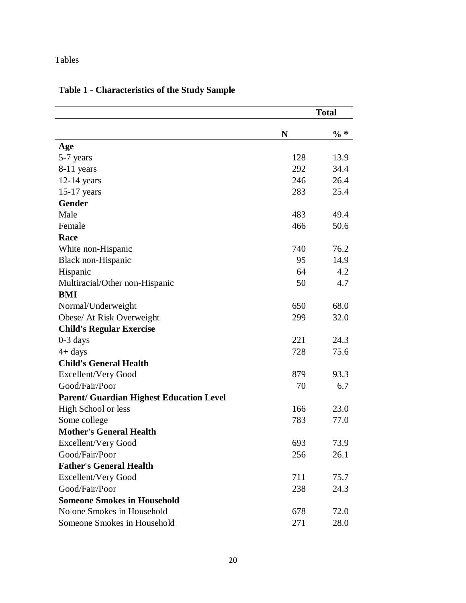# **Tables**

|                                                 |     | <b>Total</b> |
|-------------------------------------------------|-----|--------------|
|                                                 | N   | $\% *$       |
| Age                                             |     |              |
| 5-7 years                                       | 128 | 13.9         |
| 8-11 years                                      | 292 | 34.4         |
| 12-14 years                                     | 246 | 26.4         |
| $15-17$ years                                   | 283 | 25.4         |
| <b>Gender</b>                                   |     |              |
| Male                                            | 483 | 49.4         |
| Female                                          | 466 | 50.6         |
| Race                                            |     |              |
| White non-Hispanic                              | 740 | 76.2         |
| <b>Black non-Hispanic</b>                       | 95  | 14.9         |
| Hispanic                                        | 64  | 4.2          |
| Multiracial/Other non-Hispanic                  | 50  | 4.7          |
| <b>BMI</b>                                      |     |              |
| Normal/Underweight                              | 650 | 68.0         |
| Obese/ At Risk Overweight                       | 299 | 32.0         |
| <b>Child's Regular Exercise</b>                 |     |              |
| $0-3$ days                                      | 221 | 24.3         |
| $4+$ days                                       | 728 | 75.6         |
| <b>Child's General Health</b>                   |     |              |
| Excellent/Very Good                             | 879 | 93.3         |
| Good/Fair/Poor                                  | 70  | 6.7          |
| <b>Parent/ Guardian Highest Education Level</b> |     |              |
| <b>High School or less</b>                      | 166 | 23.0         |
| Some college                                    | 783 | 77.0         |
| <b>Mother's General Health</b>                  |     |              |
| Excellent/Very Good                             | 693 | 73.9         |
| Good/Fair/Poor                                  | 256 | 26.1         |
| <b>Father's General Health</b>                  |     |              |
| <b>Excellent/Very Good</b>                      | 711 | 75.7         |
| Good/Fair/Poor                                  | 238 | 24.3         |
| <b>Someone Smokes in Household</b>              |     |              |
| No one Smokes in Household                      | 678 | 72.0         |
| Someone Smokes in Household                     | 271 | 28.0         |

# **Table 1 - Characteristics of the Study Sample**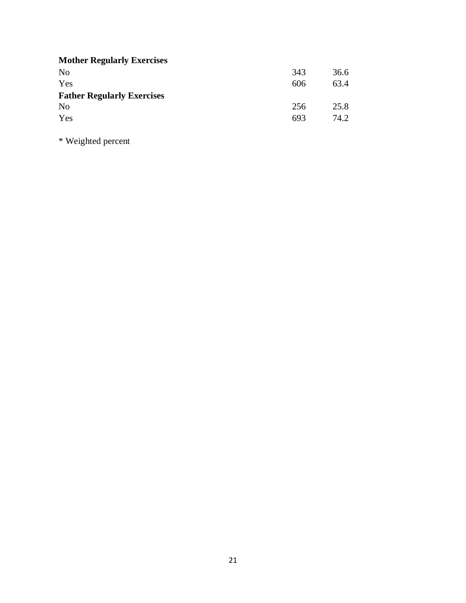| <b>Mother Regularly Exercises</b> |     |      |
|-----------------------------------|-----|------|
| N <sub>o</sub>                    | 343 | 36.6 |
| Yes                               | 606 | 63.4 |
| <b>Father Regularly Exercises</b> |     |      |
| No                                | 256 | 25.8 |
| Yes                               | 693 | 74.2 |

\* Weighted percent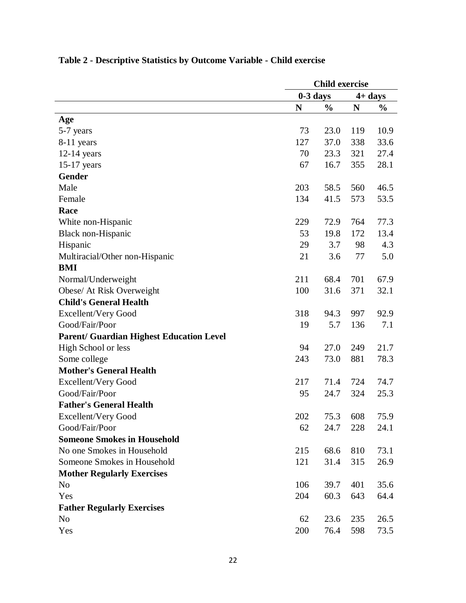|                                                 | <b>Child exercise</b>    |               |     |               |  |
|-------------------------------------------------|--------------------------|---------------|-----|---------------|--|
|                                                 | $0-3$ days<br>$4 + days$ |               |     |               |  |
|                                                 | N                        | $\frac{0}{0}$ | N   | $\frac{0}{0}$ |  |
| Age                                             |                          |               |     |               |  |
| 5-7 years                                       | 73                       | 23.0          | 119 | 10.9          |  |
| 8-11 years                                      | 127                      | 37.0          | 338 | 33.6          |  |
| $12-14$ years                                   | 70                       | 23.3          | 321 | 27.4          |  |
| $15-17$ years                                   | 67                       | 16.7          | 355 | 28.1          |  |
| <b>Gender</b>                                   |                          |               |     |               |  |
| Male                                            | 203                      | 58.5          | 560 | 46.5          |  |
| Female                                          | 134                      | 41.5          | 573 | 53.5          |  |
| Race                                            |                          |               |     |               |  |
| White non-Hispanic                              | 229                      | 72.9          | 764 | 77.3          |  |
| Black non-Hispanic                              | 53                       | 19.8          | 172 | 13.4          |  |
| Hispanic                                        | 29                       | 3.7           | 98  | 4.3           |  |
| Multiracial/Other non-Hispanic                  | 21                       | 3.6           | 77  | 5.0           |  |
| <b>BMI</b>                                      |                          |               |     |               |  |
| Normal/Underweight                              | 211                      | 68.4          | 701 | 67.9          |  |
| Obese/ At Risk Overweight                       | 100                      | 31.6          | 371 | 32.1          |  |
| <b>Child's General Health</b>                   |                          |               |     |               |  |
| <b>Excellent/Very Good</b>                      | 318                      | 94.3          | 997 | 92.9          |  |
| Good/Fair/Poor                                  | 19                       | 5.7           | 136 | 7.1           |  |
| <b>Parent/ Guardian Highest Education Level</b> |                          |               |     |               |  |
| High School or less                             | 94                       | 27.0          | 249 | 21.7          |  |
| Some college                                    | 243                      | 73.0          | 881 | 78.3          |  |
| <b>Mother's General Health</b>                  |                          |               |     |               |  |
| <b>Excellent/Very Good</b>                      | 217                      | 71.4          | 724 | 74.7          |  |
| Good/Fair/Poor                                  | 95                       | 24.7          | 324 | 25.3          |  |
| <b>Father's General Health</b>                  |                          |               |     |               |  |
| <b>Excellent/Very Good</b>                      | 202                      | 75.3          | 608 | 75.9          |  |
| Good/Fair/Poor                                  | 62                       | 24.7          | 228 | 24.1          |  |
| <b>Someone Smokes in Household</b>              |                          |               |     |               |  |
| No one Smokes in Household                      | 215                      | 68.6          | 810 | 73.1          |  |
| Someone Smokes in Household                     | 121                      | 31.4          | 315 | 26.9          |  |
| <b>Mother Regularly Exercises</b>               |                          |               |     |               |  |
| N <sub>o</sub>                                  | 106                      | 39.7          | 401 | 35.6          |  |
| Yes                                             | 204                      | 60.3          | 643 | 64.4          |  |
| <b>Father Regularly Exercises</b>               |                          |               |     |               |  |
| N <sub>o</sub>                                  | 62                       | 23.6          | 235 | 26.5          |  |
| Yes                                             | 200                      | 76.4          | 598 | 73.5          |  |

# **Table 2 - Descriptive Statistics by Outcome Variable - Child exercise**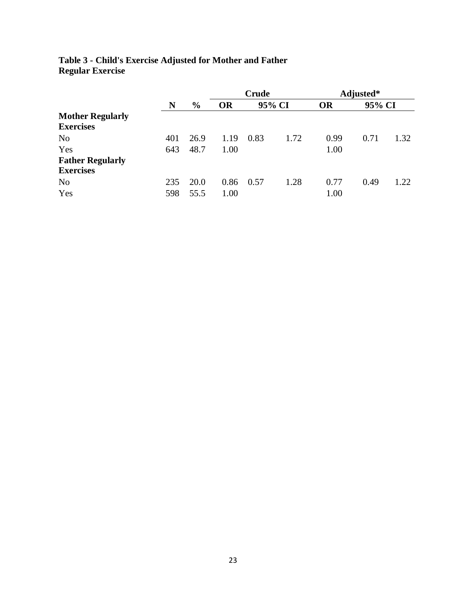| Table 3 - Child's Exercise Adjusted for Mother and Father |  |  |
|-----------------------------------------------------------|--|--|
| <b>Regular Exercise</b>                                   |  |  |

|                         |     |               |           | <b>Crude</b> |      |           | Adjusted* |      |
|-------------------------|-----|---------------|-----------|--------------|------|-----------|-----------|------|
|                         | N   | $\frac{0}{0}$ | <b>OR</b> | 95% CI       |      | <b>OR</b> | 95% CI    |      |
| <b>Mother Regularly</b> |     |               |           |              |      |           |           |      |
| <b>Exercises</b>        |     |               |           |              |      |           |           |      |
| N <sub>o</sub>          | 401 | 26.9          | 1.19      | 0.83         | 1.72 | 0.99      | 0.71      | 1.32 |
| Yes                     | 643 | 48.7          | 1.00      |              |      | 1.00      |           |      |
| <b>Father Regularly</b> |     |               |           |              |      |           |           |      |
| <b>Exercises</b>        |     |               |           |              |      |           |           |      |
| N <sub>o</sub>          | 235 | 20.0          | 0.86      | 0.57         | 1.28 | 0.77      | 0.49      | 1.22 |
| Yes                     | 598 | 55.5          | 1.00      |              |      | 1.00      |           |      |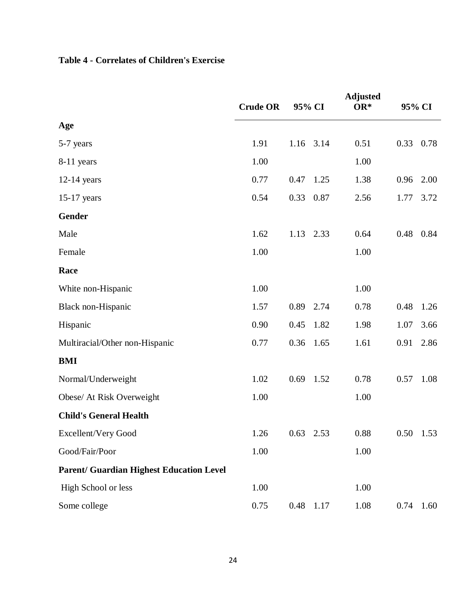# **Table 4 - Correlates of Children's Exercise**

|                                                 | <b>Crude OR</b> | 95% CI       | <b>Adjusted</b><br>OR* |      | 95% CI      |
|-------------------------------------------------|-----------------|--------------|------------------------|------|-------------|
| Age                                             |                 |              |                        |      |             |
| 5-7 years                                       | 1.91            | 1.16 3.14    | 0.51                   | 0.33 | 0.78        |
| 8-11 years                                      | 1.00            |              | 1.00                   |      |             |
| $12-14$ years                                   | 0.77            | 0.47<br>1.25 | 1.38                   | 0.96 | 2.00        |
| $15-17$ years                                   | 0.54            | 0.33<br>0.87 | 2.56                   | 1.77 | 3.72        |
| Gender                                          |                 |              |                        |      |             |
| Male                                            | 1.62            | 1.13<br>2.33 | 0.64                   | 0.48 | 0.84        |
| Female                                          | 1.00            |              | 1.00                   |      |             |
| Race                                            |                 |              |                        |      |             |
| White non-Hispanic                              | 1.00            |              | 1.00                   |      |             |
| Black non-Hispanic                              | 1.57            | 2.74<br>0.89 | 0.78                   | 0.48 | 1.26        |
| Hispanic                                        | 0.90            | 0.45<br>1.82 | 1.98                   | 1.07 | 3.66        |
| Multiracial/Other non-Hispanic                  | 0.77            | 0.36<br>1.65 | 1.61                   | 0.91 | 2.86        |
| <b>BMI</b>                                      |                 |              |                        |      |             |
| Normal/Underweight                              | 1.02            | 0.69<br>1.52 | 0.78                   | 0.57 | 1.08        |
| Obese/ At Risk Overweight                       | 1.00            |              | 1.00                   |      |             |
| <b>Child's General Health</b>                   |                 |              |                        |      |             |
| <b>Excellent/Very Good</b>                      | 1.26            | $0.63$ 2.53  | 0.88                   |      | $0.50$ 1.53 |
| Good/Fair/Poor                                  | 1.00            |              | $1.00\,$               |      |             |
| <b>Parent/ Guardian Highest Education Level</b> |                 |              |                        |      |             |
| High School or less                             | 1.00            |              | 1.00                   |      |             |
| Some college                                    | 0.75            | 0.48<br>1.17 | 1.08                   | 0.74 | 1.60        |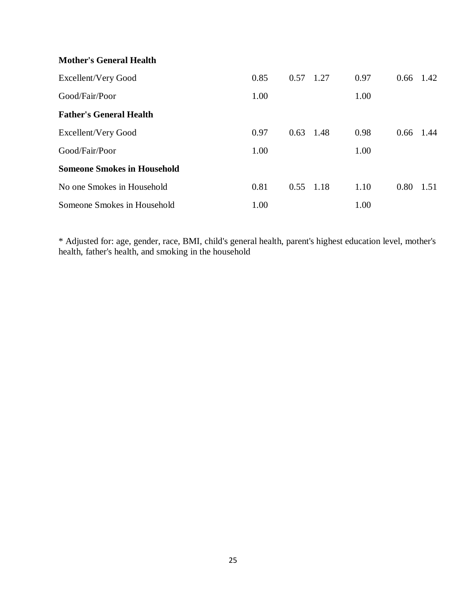# **Mother's General Health**

| Excellent/Very Good                | 0.85 | 0.57        | 1.27 | 0.97 | 0.66 | 1.42  |
|------------------------------------|------|-------------|------|------|------|-------|
| Good/Fair/Poor                     | 1.00 |             |      | 1.00 |      |       |
| <b>Father's General Health</b>     |      |             |      |      |      |       |
| Excellent/Very Good                | 0.97 | 0.63        | 1.48 | 0.98 | 0.66 | -1.44 |
| Good/Fair/Poor                     | 1.00 |             |      | 1.00 |      |       |
| <b>Someone Smokes in Household</b> |      |             |      |      |      |       |
| No one Smokes in Household         | 0.81 | $0.55$ 1.18 |      | 1.10 | 0.80 | 1.51  |
| Someone Smokes in Household        | 1.00 |             |      | 1.00 |      |       |

\* Adjusted for: age, gender, race, BMI, child's general health, parent's highest education level, mother's health, father's health, and smoking in the household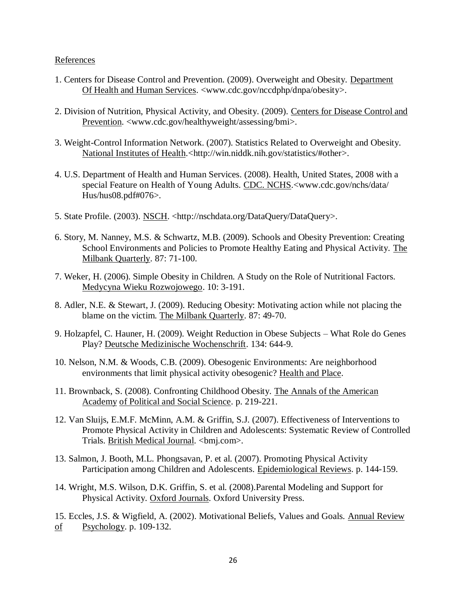# References

- 1. Centers for Disease Control and Prevention. (2009). Overweight and Obesity. Department Of Health and Human Services. <www.cdc.gov/nccdphp/dnpa/obesity>.
- 2. Division of Nutrition, Physical Activity, and Obesity. (2009). Centers for Disease Control and Prevention. <www.cdc.gov/healthyweight/assessing/bmi>.
- 3. Weight-Control Information Network. (2007). Statistics Related to Overweight and Obesity. National Institutes of Health.<http://win.niddk.nih.gov/statistics/#other>.
- 4. U.S. Department of Health and Human Services. (2008). Health, United States, 2008 with a special Feature on Health of Young Adults. CDC. NCHS.<www.cdc.gov/nchs/data/ Hus/hus08.pdf#076>.
- 5. State Profile. (2003). NSCH. <http://nschdata.org/DataQuery/DataQuery>.
- 6. Story, M. Nanney, M.S. & Schwartz, M.B. (2009). Schools and Obesity Prevention: Creating School Environments and Policies to Promote Healthy Eating and Physical Activity. The Milbank Quarterly. 87: 71-100.
- 7. Weker, H. (2006). Simple Obesity in Children. A Study on the Role of Nutritional Factors. Medycyna Wieku Rozwojowego. 10: 3-191.
- 8. Adler, N.E. & Stewart, J. (2009). Reducing Obesity: Motivating action while not placing the blame on the victim. The Milbank Quarterly. 87: 49-70.
- 9. Holzapfel, C. Hauner, H. (2009). Weight Reduction in Obese Subjects What Role do Genes Play? Deutsche Medizinische Wochenschrift. 134: 644-9.
- 10. Nelson, N.M. & Woods, C.B. (2009). Obesogenic Environments: Are neighborhood environments that limit physical activity obesogenic? Health and Place.
- 11. Brownback, S. (2008). Confronting Childhood Obesity. The Annals of the American Academy of Political and Social Science. p. 219-221.
- 12. Van Sluijs, E.M.F. McMinn, A.M. & Griffin, S.J. (2007). Effectiveness of Interventions to Promote Physical Activity in Children and Adolescents: Systematic Review of Controlled Trials. British Medical Journal. <br/> <br/>bmj.com>.
- 13. Salmon, J. Booth, M.L. Phongsavan, P. et al. (2007). Promoting Physical Activity Participation among Children and Adolescents. Epidemiological Reviews. p. 144-159.
- 14. Wright, M.S. Wilson, D.K. Griffin, S. et al. (2008).Parental Modeling and Support for Physical Activity. Oxford Journals. Oxford University Press.
- 15. Eccles, J.S. & Wigfield, A. (2002). Motivational Beliefs, Values and Goals. Annual Review  $of$  Psychology. p. 109-132.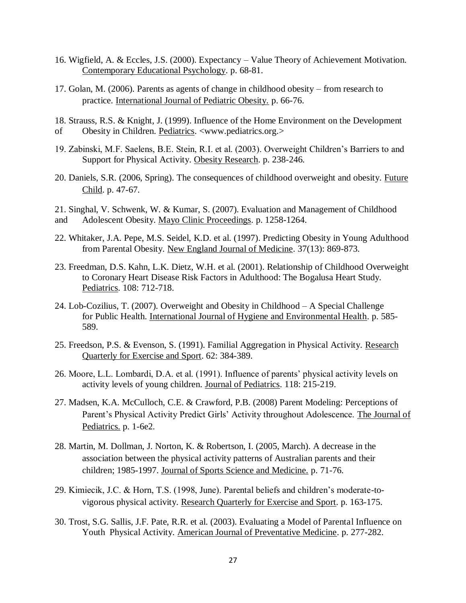- 16. Wigfield, A. & Eccles, J.S. (2000). Expectancy Value Theory of Achievement Motivation. Contemporary Educational Psychology. p. 68-81.
- 17. Golan, M. (2006). Parents as agents of change in childhood obesity from research to practice. International Journal of Pediatric Obesity. p. 66-76.

18. Strauss, R.S. & Knight, J. (1999). Influence of the Home Environment on the Development of Obesity in Children. Pediatrics. <www.pediatrics.org.>

- 19. Zabinski, M.F. Saelens, B.E. Stein, R.I. et al. (2003). Overweight Children's Barriers to and Support for Physical Activity. Obesity Research. p. 238-246.
- 20. Daniels, S.R. (2006, Spring). The consequences of childhood overweight and obesity. Future Child. p. 47-67.
- 21. Singhal, V. Schwenk, W. & Kumar, S. (2007). Evaluation and Management of Childhood and Adolescent Obesity. Mayo Clinic Proceedings. p. 1258-1264.
- 22. Whitaker, J.A. Pepe, M.S. Seidel, K.D. et al. (1997). Predicting Obesity in Young Adulthood from Parental Obesity. New England Journal of Medicine. 37(13): 869-873.
- 23. Freedman, D.S. Kahn, L.K. Dietz, W.H. et al. (2001). Relationship of Childhood Overweight to Coronary Heart Disease Risk Factors in Adulthood: The Bogalusa Heart Study. Pediatrics. 108: 712-718.
- 24. Lob-Cozilius, T. (2007). Overweight and Obesity in Childhood A Special Challenge for Public Health. International Journal of Hygiene and Environmental Health. p. 585- 589.
- 25. Freedson, P.S. & Evenson, S. (1991). Familial Aggregation in Physical Activity. Research Quarterly for Exercise and Sport. 62: 384-389.
- 26. Moore, L.L. Lombardi, D.A. et al. (1991). Influence of parents' physical activity levels on activity levels of young children. Journal of Pediatrics. 118: 215-219.
- 27. Madsen, K.A. McCulloch, C.E. & Crawford, P.B. (2008) Parent Modeling: Perceptions of Parent's Physical Activity Predict Girls' Activity throughout Adolescence. The Journal of Pediatrics. p. 1-6e2.
- 28. Martin, M. Dollman, J. Norton, K. & Robertson, I. (2005, March). A decrease in the association between the physical activity patterns of Australian parents and their children; 1985-1997. Journal of Sports Science and Medicine. p. 71-76.
- 29. Kimiecik, J.C. & Horn, T.S. (1998, June). Parental beliefs and children's moderate-tovigorous physical activity. Research Quarterly for Exercise and Sport. p. 163-175.
- 30. Trost, S.G. Sallis, J.F. Pate, R.R. et al. (2003). Evaluating a Model of Parental Influence on Youth Physical Activity. American Journal of Preventative Medicine. p. 277-282.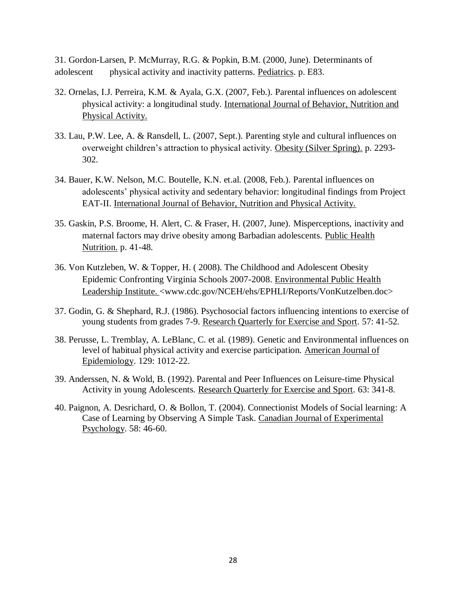31. Gordon-Larsen, P. McMurray, R.G. & Popkin, B.M. (2000, June). Determinants of adolescent physical activity and inactivity patterns. Pediatrics. p. E83.

- 32. Ornelas, I.J. Perreira, K.M. & Ayala, G.X. (2007, Feb.). Parental influences on adolescent physical activity: a longitudinal study. International Journal of Behavior, Nutrition and Physical Activity.
- 33. Lau, P.W. Lee, A. & Ransdell, L. (2007, Sept.). Parenting style and cultural influences on overweight children's attraction to physical activity. Obesity (Silver Spring). p. 2293- 302.
- 34. Bauer, K.W. Nelson, M.C. Boutelle, K.N. et.al. (2008, Feb.). Parental influences on adolescents' physical activity and sedentary behavior: longitudinal findings from Project EAT-II. International Journal of Behavior, Nutrition and Physical Activity.
- 35. Gaskin, P.S. Broome, H. Alert, C. & Fraser, H. (2007, June). Misperceptions, inactivity and maternal factors may drive obesity among Barbadian adolescents. Public Health Nutrition. p. 41-48.
- 36. Von Kutzleben, W. & Topper, H. ( 2008). The Childhood and Adolescent Obesity Epidemic Confronting Virginia Schools 2007-2008. Environmental Public Health Leadership Institute. <www.cdc.gov/NCEH/ehs/EPHLI/Reports/VonKutzelben.doc>
- 37. Godin, G. & Shephard, R.J. (1986). Psychosocial factors influencing intentions to exercise of young students from grades 7-9. Research Quarterly for Exercise and Sport. 57: 41-52.
- 38. Perusse, L. Tremblay, A. LeBlanc, C. et al. (1989). Genetic and Environmental influences on level of habitual physical activity and exercise participation. American Journal of Epidemiology. 129: 1012-22.
- 39. Anderssen, N. & Wold, B. (1992). Parental and Peer Influences on Leisure-time Physical Activity in young Adolescents. Research Quarterly for Exercise and Sport. 63: 341-8.
- 40. Paignon, A. Desrichard, O. & Bollon, T. (2004). Connectionist Models of Social learning: A Case of Learning by Observing A Simple Task. Canadian Journal of Experimental Psychology. 58: 46-60.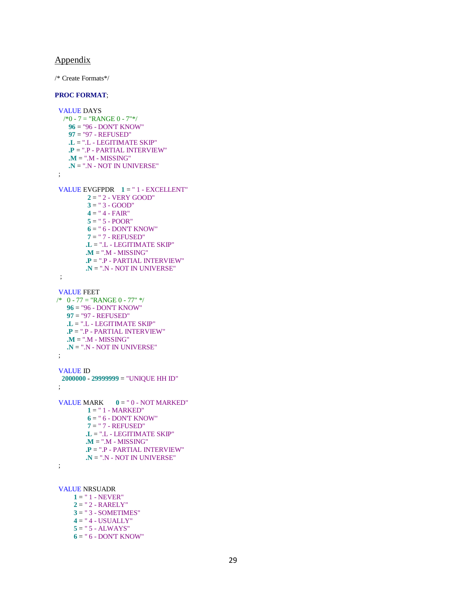## Appendix

/\* Create Formats\*/

#### **PROC FORMAT**;

```
 VALUE DAYS
 \frac{1}{8} - 7 = "RANGE 0 - 7"*/
    96 = "96 - DON'T KNOW"
    97 = "97 - REFUSED"
    .L = ".L - LEGITIMATE SKIP"
    .P = ".P - PARTIAL INTERVIEW"
    .M = ".M - MISSING"
    .N = ".N - NOT IN UNIVERSE"
 ;
VALUE EVGFPDR 1 = " 1 - EXCELLENT" 2 = " 2 - VERY GOOD"
          3 = " 3 - GOOD"
         4 = " 4 - FAR" 5 = " 5 - POOR"
         6 = " 6 - DONT KNOW" 7 = " 7 - REFUSED"
          .L = ".L - LEGITIMATE SKIP"
          .M = ".M - MISSING"
         .P = ".P - PARTIAL INTERVIEW"
         .N = ".N - NOT IN UNIVERSE"
  ;
 VALUE FEET
/* 0 - 77 = "RANGE 0 - 77"
```

```
 96 = "96 - DON'T KNOW"
   97 = "97 - REFUSED"
   .L = ".L - LEGITIMATE SKIP"
   .P = ".P - PARTIAL INTERVIEW"
   .M = ".M - MISSING"
   .N = ".N - NOT IN UNIVERSE"
 ;
```
### VALUE ID

```
 2000000 - 29999999 = "UNIQUE HH ID"
 ;
```

```
VALUE MARK 0 = "0 - NOT MARKED" 1 = " 1 - MARKED"
         6 = " 6 - DON'T KNOW"
         7 = " 7 - REFUSED"
         .L = ".L - LEGITIMATE SKIP"
         .M = ".M - MISSING"
         .P = ".P - PARTIAL INTERVIEW"
         .N = ".N - NOT IN UNIVERSE"
```

```
 ;
```

```
 VALUE NRSUADR
```
- $1 = " 1 NEVER"$  $2 = " 2 - RARELY"$
- **3** = " 3 SOMETIMES" **4** = " 4 - USUALLY" **5** = " 5 - ALWAYS" **6** = " 6 - DON'T KNOW"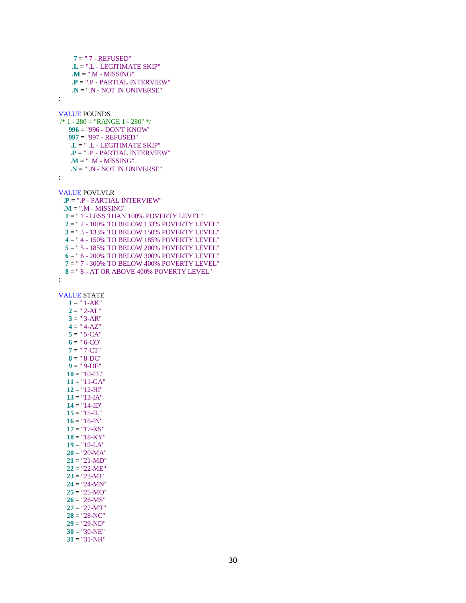```
 7 = " 7 - REFUSED"
     .L = ".L - LEGITIMATE SKIP"
     .M = ".M - MISSING"
     .P = ".P - PARTIAL INTERVIEW"
     .N = ".N - NOT IN UNIVERSE"
 ;
 VALUE POUNDS
 /* 1 - 280 = "RANGE 1 - 280" */
    996 = "996 - DON'T KNOW"
    997 = "997 - REFUSED"
    .L = " .L - LEGITIMATE SKIP"
    .P = " .P - PARTIAL INTERVIEW"
    .M = " .M - MISSING"
    .N = " .N - NOT IN UNIVERSE"
 ;
 VALUE POVLVLR
  .P = ".P - PARTIAL INTERVIEW"
  .M = ".M - MISSING"
   1 = " 1 - LESS THAN 100% POVERTY LEVEL"
   2 = " 2 - 100% TO BELOW 133% POVERTY LEVEL"
   3 = " 3 - 133% TO BELOW 150% POVERTY LEVEL"
   4 = " 4 - 150% TO BELOW 185% POVERTY LEVEL"
  5 = " 5 - 185% TO BELOW 200% POVERTY LEVEL"
   6 = " 6 - 200% TO BELOW 300% POVERTY LEVEL"
  7 = " 7 - 300% TO BELOW 400% POVERTY LEVEL"
   8 = " 8 - AT OR ABOVE 400% POVERTY LEVEL"
 ;
   1 = " 1 - AK"2 = " 2-AL"3 = "3-AR"
   4 = " 4-AZ"5 = " 5-CA"6 = " 6-CO" 7 = " 7-CT"
    8 = " 8-DC"
   9 = " 9-DE"10 = "10-FL" 11 = "11-GA"
    12 = "12-HI"
  13 = "13-IA"
   14 = "14-ID"
  15 = "15-L"16 = "16-N" 17 = "17-KS"
   18 = "18-KY"
   19 = "19-LA"
   20 = "20-MA"
   21 = "21-MD"
   22 = "22-ME"
  23 = "23-MI" 24 = "24-MN"
   25 = "25-MO"
  26 = "26-MS"
```
#### VALUE STATE

 **27** = "27-MT" **28** = "28-NC" **29** = "29-ND" **30** = "30-NE" **31** = "31-NH"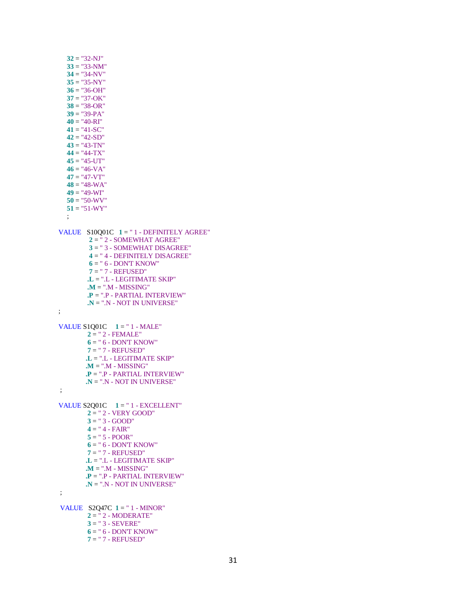$32 =$  "32-NJ" **33** = "33-NM" **34** = "34-NV" **35** = "35-NY"  $36 = "36-OH"$  **37** = "37-OK" **38** = "38-OR" **39** = "39-PA" **40** = "40-RI" **41** = "41-SC" **42** = "42-SD" **43** = "43-TN"  $44 = "44-TX"$  $45 = "45-UT"$  $46 = "46-VA"$  **47** = "47-VT" **48** = "48-WA" **49** = "49-WI" **50** = "50-WV" **51** = "51-WY" ; VALUE S10Q01C **1** = " 1 - DEFINITELY AGREE" **2** = " 2 - SOMEWHAT AGREE" **3** = " 3 - SOMEWHAT DISAGREE" **4** = " 4 - DEFINITELY DISAGREE" **6** = " 6 - DON'T KNOW" **7** = " 7 - REFUSED" **.L** = ".L - LEGITIMATE SKIP" **.M** = ".M - MISSING" **.P** = ".P - PARTIAL INTERVIEW" **.N** = ".N - NOT IN UNIVERSE" ; VALUE S1Q01C **1** = " 1 - MALE" **2** = " 2 - FEMALE" **6** = " 6 - DON'T KNOW" **7** = " 7 - REFUSED" **.L** = ".L - LEGITIMATE SKIP" **.M** = ".M - MISSING" **.P** = ".P - PARTIAL INTERVIEW" **.N** = ".N - NOT IN UNIVERSE" ; VALUE S2Q01C **1** = " 1 - EXCELLENT" **2** = " 2 - VERY GOOD"  $3 = "3 - GOD"$  **4** = " 4 - FAIR" **5** = " 5 - POOR" **6** = " 6 - DON'T KNOW" **7** = " 7 - REFUSED" **.L** = ".L - LEGITIMATE SKIP" **.M** = ".M - MISSING" **.P** = ".P - PARTIAL INTERVIEW" **.N** = ".N - NOT IN UNIVERSE" ; VALUE S2Q47C **1** = " 1 - MINOR" **2** = " 2 - MODERATE" **3** = " 3 - SEVERE" **6** = " 6 - DON'T KNOW" **7** = " 7 - REFUSED"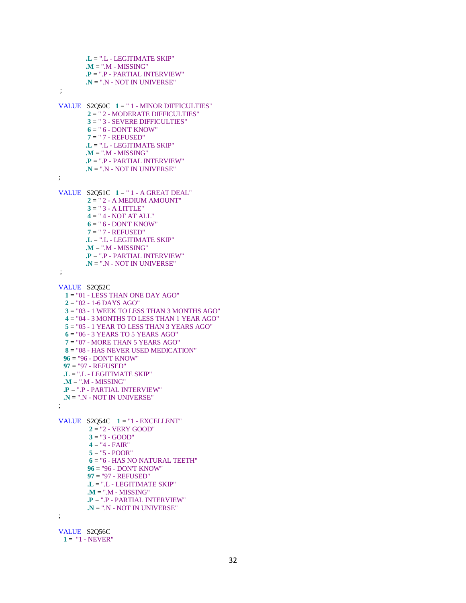```
 .L = ".L - LEGITIMATE SKIP"
         .M = ".M - MISSING"
         .P = ".P - PARTIAL INTERVIEW"
         .N = ".N - NOT IN UNIVERSE"
 ;
 VALUE S2Q50C 1 = " 1 - MINOR DIFFICULTIES"
         2 = " 2 - MODERATE DIFFICULTIES"
          3 = " 3 - SEVERE DIFFICULTIES"
         6 = " 6 - DONT KNOW" 7 = " 7 - REFUSED"
         .L = ".L - LEGITIMATE SKIP"
         .M = ".M - MISSING"
         .P = ".P - PARTIAL INTERVIEW"
         .N = ".N - NOT IN UNIVERSE"
 ;
 VALUE S2Q51C 1 = " 1 - A GREAT DEAL"
          2 = " 2 - A MEDIUM AMOUNT"
          3 = " 3 - A LITTLE"
          4 = " 4 - NOT AT ALL"
          6 = " 6 - DON'T KNOW"
         7 = " 7 - REFUSED"
         .L = ".L - LEGITIMATE SKIP"
         .M = ".M - MISSING"
         .P = ".P - PARTIAL INTERVIEW"
         .N = ".N - NOT IN UNIVERSE"
 ;
 VALUE S2Q52C
   1 = "01 - LESS THAN ONE DAY AGO"
   2 = "02 - 1-6 DAYS AGO"
   3 = "03 - 1 WEEK TO LESS THAN 3 MONTHS AGO"
   4 = "04 - 3 MONTHS TO LESS THAN 1 YEAR AGO"
   5 = "05 - 1 YEAR TO LESS THAN 3 YEARS AGO"
   6 = "06 - 3 YEARS TO 5 YEARS AGO"
   7 = "07 - MORE THAN 5 YEARS AGO"
  8 = "08 - HAS NEVER USED MEDICATION"
  96 = "96 - DON'T KNOW"
  97 = "97 - REFUSED"
  .L = ".L - LEGITIMATE SKIP"
  .M = ".M - MISSING"
  .P = ".P - PARTIAL INTERVIEW"
  .N = ".N - NOT IN UNIVERSE"
 ;
 VALUE S2Q54C 1 = "1 - EXCELLENT"
          2 = "2 - VERY GOOD"
         3 = "3 - GOD"4 = 4 - FAIR''5 = "5 - POOR" 6 = "6 - HAS NO NATURAL TEETH"
          96 = "96 - DON'T KNOW"
          97 = "97 - REFUSED"
          .L = ".L - LEGITIMATE SKIP"
         .M = ".M - MISSING"
         .P = ".P - PARTIAL INTERVIEW"
         .N = ".N - NOT IN UNIVERSE"
 ;
 VALUE S2Q56C
```

```
 1 = "1 - NEVER"
```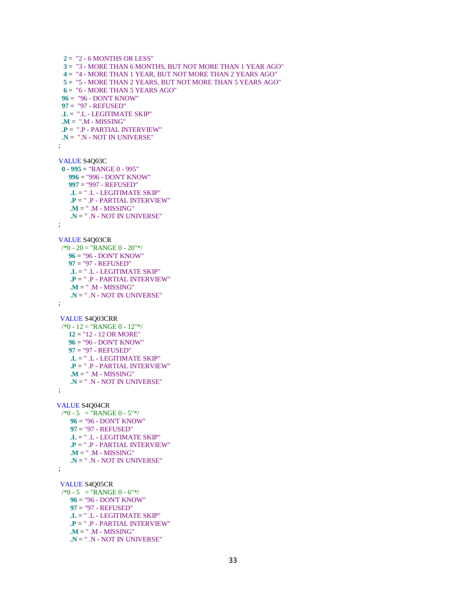$2 =$  "2 - 6 MONTHS OR LESS" **3** = "3 - MORE THAN 6 MONTHS, BUT NOT MORE THAN 1 YEAR AGO" **4** = "4 - MORE THAN 1 YEAR, BUT NOT MORE THAN 2 YEARS AGO" **5** = "5 - MORE THAN 2 YEARS, BUT NOT MORE THAN 5 YEARS AGO" **6** = "6 - MORE THAN 5 YEARS AGO" **96** = "96 - DON'T KNOW" **97** = "97 - REFUSED" **.L** = ".L - LEGITIMATE SKIP" **.M** = ".M - MISSING" **.P** = ".P - PARTIAL INTERVIEW" **.N** = ".N - NOT IN UNIVERSE" ; VALUE S4Q03C **0** - **995** = "RANGE 0 - 995" **996** = "996 - DON'T KNOW" **997** = "997 - REFUSED" **.L** = " .L - LEGITIMATE SKIP" **.P** = " .P - PARTIAL INTERVIEW" **.M** = " .M - MISSING" **.N** = " .N - NOT IN UNIVERSE" ; VALUE S4Q03CR  $\frac{1}{8}$  - 20 = "RANGE 0 - 20"\*/ **96** = "96 - DON'T KNOW" **97** = "97 - REFUSED" **.L** = " .L - LEGITIMATE SKIP" **.P** = " .P - PARTIAL INTERVIEW" **.M** = " .M - MISSING" **.N** = " .N - NOT IN UNIVERSE" ; VALUE S4Q03CRR /\*0 - 12 = "RANGE 0 - 12"\*/ **12** = "12 - 12 OR MORE" **96** = "96 - DON'T KNOW" **97** = "97 - REFUSED" **.L** = " .L - LEGITIMATE SKIP" **.P** = " .P - PARTIAL INTERVIEW" **.M** = " .M - MISSING" **.N** = " .N - NOT IN UNIVERSE" ; VALUE S4Q04CR  $/*0 - 5 = "RANGE 0 - 5"$  **96** = "96 - DON'T KNOW" **97** = "97 - REFUSED" **.L** = " .L - LEGITIMATE SKIP" **.P** = " .P - PARTIAL INTERVIEW" **.M** = " .M - MISSING" **.N** = " .N - NOT IN UNIVERSE" ; VALUE S4Q05CR  $\sqrt{$}0 - 5 = "RANGE 0 - 6"$  **96** = "96 - DON'T KNOW" **97** = "97 - REFUSED" **.L** = " .L - LEGITIMATE SKIP" **.P** = " .P - PARTIAL INTERVIEW" **.M** = " .M - MISSING" **.N** = " .N - NOT IN UNIVERSE"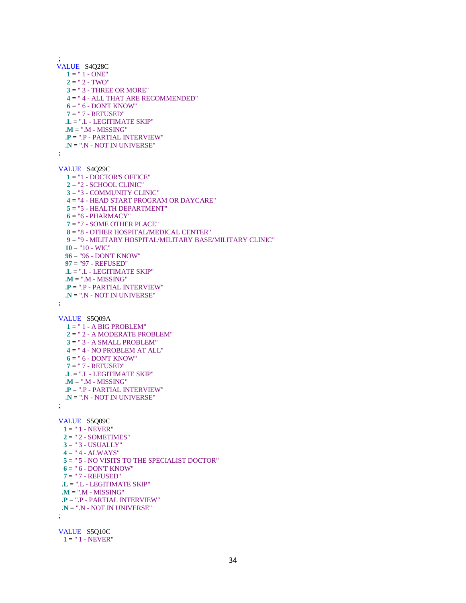; VALUE S4Q28C  $1 = " 1 - ONE"$  $2 = " 2 - TWO"$  **3** = " 3 - THREE OR MORE" **4** = " 4 - ALL THAT ARE RECOMMENDED" **6** = " 6 - DON'T KNOW" **7** = " 7 - REFUSED" **.L** = ".L - LEGITIMATE SKIP" **.M** = ".M - MISSING" **.P** = ".P - PARTIAL INTERVIEW" **.N** = ".N - NOT IN UNIVERSE" ; VALUE S4Q29C **1** = "1 - DOCTOR'S OFFICE" **2** = "2 - SCHOOL CLINIC" **3** = "3 - COMMUNITY CLINIC" **4** = "4 - HEAD START PROGRAM OR DAYCARE" **5** = "5 - HEALTH DEPARTMENT" **6** = "6 - PHARMACY" **7** = "7 - SOME OTHER PLACE" **8** = "8 - OTHER HOSPITAL/MEDICAL CENTER" **9** = "9 - MILITARY HOSPITAL/MILITARY BASE/MILITARY CLINIC"  $10 = "10 - WIC"$  **96** = "96 - DON'T KNOW" **97** = "97 - REFUSED" **.L** = ".L - LEGITIMATE SKIP" **.M** = ".M - MISSING" **.P** = ".P - PARTIAL INTERVIEW" **.N** = ".N - NOT IN UNIVERSE" ; VALUE S5Q09A **1** = " 1 - A BIG PROBLEM" **2** = " 2 - A MODERATE PROBLEM" **3** = " 3 - A SMALL PROBLEM"  $4 = " 4 - NO PROBLEM AT ALL"$  **6** = " 6 - DON'T KNOW" **7** = " 7 - REFUSED" **.L** = ".L - LEGITIMATE SKIP" **.M** = ".M - MISSING" **.P** = ".P - PARTIAL INTERVIEW" **.N** = ".N - NOT IN UNIVERSE" ; VALUE S5Q09C **1** = " 1 - NEVER" **2** = " 2 - SOMETIMES" **3** = " 3 - USUALLY"  $4 = " 4 - ALWAYS"$  **5** = " 5 - NO VISITS TO THE SPECIALIST DOCTOR" **6** = " 6 - DON'T KNOW" **7** = " 7 - REFUSED" **.L** = ".L - LEGITIMATE SKIP" **.M** = ".M - MISSING" **.P** = ".P - PARTIAL INTERVIEW" **.N** = ".N - NOT IN UNIVERSE" ; VALUE S5Q10C

**1** = " 1 - NEVER"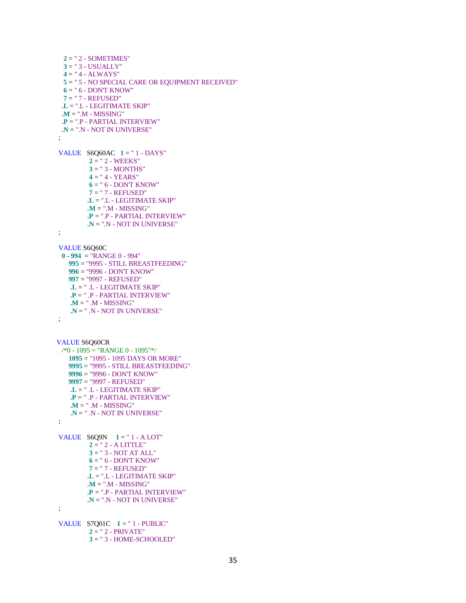**2** = " 2 - SOMETIMES" **3** = " 3 - USUALLY"  $4 = " 4 - ALWAYS"$  **5** = " 5 - NO SPECIAL CARE OR EQUIPMENT RECEIVED" **6** = " 6 - DON'T KNOW" **7** = " 7 - REFUSED" **.L** = ".L - LEGITIMATE SKIP" **.M** = ".M - MISSING" **.P** = ".P - PARTIAL INTERVIEW" **.N** = ".N - NOT IN UNIVERSE"

 VALUE S6Q60AC **1** = " 1 - DAYS"  $2 = " 2 - WEEKS"$  $3 =$  " 3 - MONTHS" **4** = " 4 - YEARS" **6** = " 6 - DON'T KNOW" **7** = " 7 - REFUSED" **.L** = ".L - LEGITIMATE SKIP" **.M** = ".M - MISSING" **.P** = ".P - PARTIAL INTERVIEW" **.N** = ".N - NOT IN UNIVERSE"

;

;

 VALUE S6Q60C **0** - **994** = "RANGE 0 - 994" **995** = "9995 - STILL BREASTFEEDING" **996** = "9996 - DON'T KNOW" **997** = "9997 - REFUSED" **.L** = " .L - LEGITIMATE SKIP" **.P** = " .P - PARTIAL INTERVIEW" **.M** = " .M - MISSING" **.N** = " .N - NOT IN UNIVERSE" ;

```
VALUE S6Q60CR
  /*0 - 1095 = "RANGE 0 - 1095"*/
     1095 = "1095 - 1095 DAYS OR MORE"
     9995 = "9995 - STILL BREASTFEEDING"
     9996 = "9996 - DON'T KNOW"
     9997 = "9997 - REFUSED"
     .L = " .L - LEGITIMATE SKIP"
     .P = " .P - PARTIAL INTERVIEW"
    \mathbf{M} = \text{''} .<br>M - MISSING"
     .N = " .N - NOT IN UNIVERSE"
 ;
```

```
 VALUE S6Q9N 1 = " 1 - A LOT"
          2 = " 2 - A LITTLE"
          3 = " 3 - NOT AT ALL"
         6 = " 6 - DONT KNOW" 7 = " 7 - REFUSED"
          .L = ".L - LEGITIMATE SKIP"
          .M = ".M - MISSING"
          .P = ".P - PARTIAL INTERVIEW"
          .N = ".N - NOT IN UNIVERSE"
 ;
```
 VALUE S7Q01C **1** = " 1 - PUBLIC" **2** = " 2 - PRIVATE" **3** = " 3 - HOME-SCHOOLED"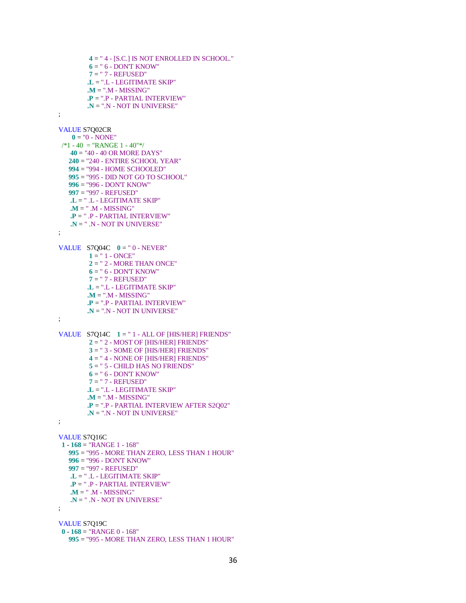**4** = " 4 - [S.C.] IS NOT ENROLLED IN SCHOOL."  $6 = " 6 - DONT KNOW"$  **7** = " 7 - REFUSED" **.L** = ".L - LEGITIMATE SKIP" **.M** = ".M - MISSING" **.P** = ".P - PARTIAL INTERVIEW" **.N** = ".N - NOT IN UNIVERSE" VALUE S7Q02CR  $0 = "0 - NONE"$ 

 $/*1 - 40 = "RANGE 1 - 40"$  **40** = "40 - 40 OR MORE DAYS" **240** = "240 - ENTIRE SCHOOL YEAR" **994** = "994 - HOME SCHOOLED" **995** = "995 - DID NOT GO TO SCHOOL" **996** = "996 - DON'T KNOW" **997** = "997 - REFUSED" **.L** = " .L - LEGITIMATE SKIP" **.M** = " .M - MISSING" **.P** = " .P - PARTIAL INTERVIEW" **.N** = " .N - NOT IN UNIVERSE"

;

;

;

VALUE S7Q04C  $0 = " 0 - NEVER"$  $1 = " 1 - ONCE"$  **2** = " 2 - MORE THAN ONCE"  $6 = " 6 - DONT KNOW"$  **7** = " 7 - REFUSED" **.L** = ".L - LEGITIMATE SKIP" **.M** = ".M - MISSING" **.P** = ".P - PARTIAL INTERVIEW" **.N** = ".N - NOT IN UNIVERSE"

 VALUE S7Q14C **1** = " 1 - ALL OF [HIS/HER] FRIENDS" **2** = " 2 - MOST OF [HIS/HER] FRIENDS" **3** = " 3 - SOME OF [HIS/HER] FRIENDS" **4** = " 4 - NONE OF [HIS/HER] FRIENDS" **5** = " 5 - CHILD HAS NO FRIENDS" **6** = " 6 - DON'T KNOW" **7** = " 7 - REFUSED" **.L** = ".L - LEGITIMATE SKIP" **.M** = ".M - MISSING" **.P** = ".P - PARTIAL INTERVIEW AFTER S2Q02" **.N** = ".N - NOT IN UNIVERSE" ;

#### VALUE S7Q16C

;

 **1** - **168** = "RANGE 1 - 168" **995** = "995 - MORE THAN ZERO, LESS THAN 1 HOUR" **996** = "996 - DON'T KNOW" **997** = "997 - REFUSED" **.L** = " .L - LEGITIMATE SKIP" **.P** = " .P - PARTIAL INTERVIEW" **.M** = " .M - MISSING" **.N** = " .N - NOT IN UNIVERSE"

 VALUE S7Q19C **0** - **168** = "RANGE 0 - 168" **995** = "995 - MORE THAN ZERO, LESS THAN 1 HOUR"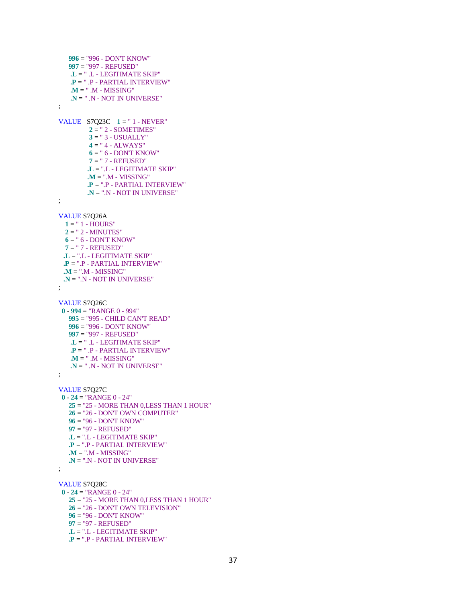```
 996 = "996 - DON'T KNOW"
    997 = "997 - REFUSED"
    .L = " .L - LEGITIMATE SKIP"
    .P = " .P - PARTIAL INTERVIEW"
    .M = " .M - MISSING"
    .N = " .N - NOT IN UNIVERSE"
 ;
VALUE S7Q23C 1 = "1 - NEVER"
          2 = " 2 - SOMETIMES"
          3 = " 3 - USUALLY"
          4 = " 4 - ALWAYS"
         6 = " 6 - DONT KNOW" 7 = " 7 - REFUSED"
          .L = ".L - LEGITIMATE SKIP"
          .M = ".M - MISSING"
          .P = ".P - PARTIAL INTERVIEW"
          .N = ".N - NOT IN UNIVERSE"
 ;
 VALUE S7Q26A
  1 = " 1 - HOURS" 2 = " 2 - MINUTES"
 6 = " 6 - DON'T 7 = " 7 - REFUSED"
  .L = ".L - LEGITIMATE SKIP"
  .P = ".P - PARTIAL INTERVIEW"
  .M = ".M - MISSING"
  .N = ".N - NOT IN UNIVERSE"
 ;
 VALUE S7Q26C
  0 - 994 = "RANGE 0 - 994"
    995 = "995 - CHILD CAN'T READ"
    996 = "996 - DON'T KNOW"
    997 = "997 - REFUSED"
    .L = " .L - LEGITIMATE SKIP"
    .P = " .P - PARTIAL INTERVIEW"
    .M = " .M - MISSING"
    .N = " .N - NOT IN UNIVERSE"
 ;
 VALUE S7Q27C
  0 - 24 = "RANGE 0 - 24"
    25 = "25 - MORE THAN 0,LESS THAN 1 HOUR"
    26 = "26 - DON'T OWN COMPUTER"
    96 = "96 - DON'T KNOW"
    97 = "97 - REFUSED"
    .L = ".L - LEGITIMATE SKIP"
    .P = ".P - PARTIAL INTERVIEW"
    .M = ".M - MISSING"
    .N = ".N - NOT IN UNIVERSE"
 ;
 VALUE S7Q28C
  0 - 24 = "RANGE 0 - 24"
    25 = "25 - MORE THAN 0,LESS THAN 1 HOUR"
    26 = "26 - DON'T OWN TELEVISION"
    96 = "96 - DON'T KNOW"
    97 = "97 - REFUSED"
    .L = ".L - LEGITIMATE SKIP"
    .P = ".P - PARTIAL INTERVIEW"
```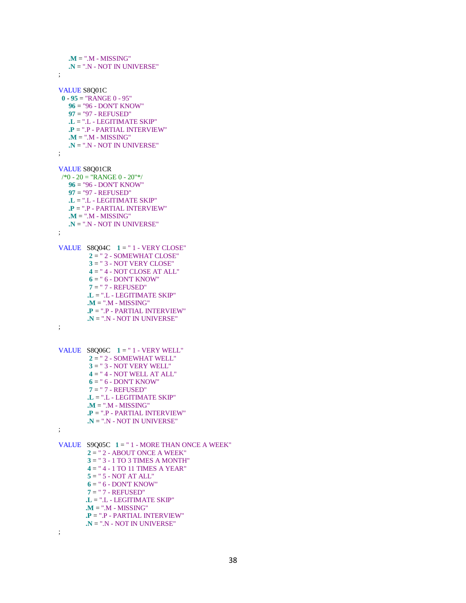**.M** = ".M - MISSING" **.N** = ".N - NOT IN UNIVERSE" ; VALUE S8Q01C **0** - **95** = "RANGE 0 - 95" **96** = "96 - DON'T KNOW" **97** = "97 - REFUSED" **.L** = ".L - LEGITIMATE SKIP" **.P** = ".P - PARTIAL INTERVIEW" **.M** = ".M - MISSING" **.N** = ".N - NOT IN UNIVERSE" ; VALUE S8Q01CR  $\frac{1}{8}$  - 20 = "RANGE 0 - 20"\*/ **96** = "96 - DON'T KNOW" **97** = "97 - REFUSED" **.L** = ".L - LEGITIMATE SKIP" **.P** = ".P - PARTIAL INTERVIEW" **.M** = ".M - MISSING" **.N** = ".N - NOT IN UNIVERSE" ; VALUE  $S8Q04C$   $1 = " 1 - VERY CLOSE"$  **2** = " 2 - SOMEWHAT CLOSE" **3** = " 3 - NOT VERY CLOSE" **4** = " 4 - NOT CLOSE AT ALL"  $6 = " 6 - DONT KNOW"$  **7** = " 7 - REFUSED" **.L** = ".L - LEGITIMATE SKIP" **.M** = ".M - MISSING" **.P** = ".P - PARTIAL INTERVIEW" **.N** = ".N - NOT IN UNIVERSE" ; VALUE S8Q06C  $1 = " 1 - V$  UERY WELL" **2** = " 2 - SOMEWHAT WELL" **3** = " 3 - NOT VERY WELL" **4** = " 4 - NOT WELL AT ALL" **6** = " 6 - DON'T KNOW" **7** = " 7 - REFUSED" **.L** = ".L - LEGITIMATE SKIP" **.M** = ".M - MISSING" **.P** = ".P - PARTIAL INTERVIEW" **.N** = ".N - NOT IN UNIVERSE" ; VALUE S9Q05C **1** = " 1 - MORE THAN ONCE A WEEK" **2** = " 2 - ABOUT ONCE A WEEK" **3** = " 3 - 1 TO 3 TIMES A MONTH" **4** = " 4 - 1 TO 11 TIMES A YEAR" **5** = " 5 - NOT AT ALL" **6** = " 6 - DON'T KNOW" **7** = " 7 - REFUSED" **.L** = ".L - LEGITIMATE SKIP" **.M** = ".M - MISSING" **.P** = ".P - PARTIAL INTERVIEW" **.N** = ".N - NOT IN UNIVERSE"

;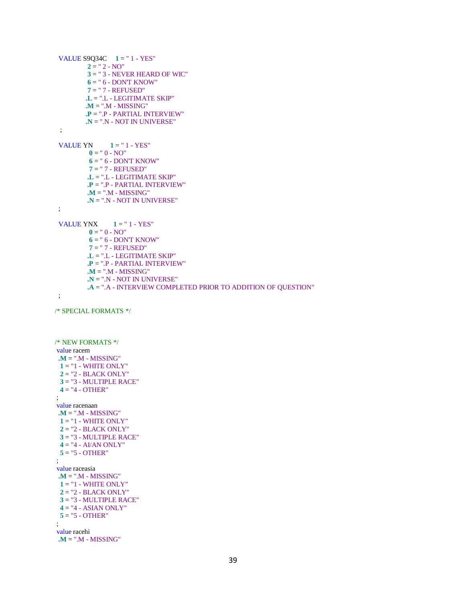```
 VALUE S9Q34C 1 = " 1 - YES"
          2 = " 2 - NO" 3 = " 3 - NEVER HEARD OF WIC"
           6 = " 6 - DON'T KNOW"
           7 = " 7 - REFUSED"
          .L = ".L - LEGITIMATE SKIP"
          .M = ".M - MISSING"
          .P = ".P - PARTIAL INTERVIEW"
          .N = ".N - NOT IN UNIVERSE"
  ;
 VALUE YN 1 = " 1 - YES"0 = " 0 - NO"6 = " 6 - DONT KNOW" 7 = " 7 - REFUSED"
           .L = ".L - LEGITIMATE SKIP"
           .P = ".P - PARTIAL INTERVIEW"
           .M = ".M - MISSING"
           .N = ".N - NOT IN UNIVERSE"
  ;
 VALUE YNX 1 = " 1 - YES"0 = " 0 - NO"6 = " 6 - DONT KNOW" 7 = " 7 - REFUSED"
           .L = ".L - LEGITIMATE SKIP"
           .P = ".P - PARTIAL INTERVIEW"
           .M = ".M - MISSING"
           .N = ".N - NOT IN UNIVERSE"
           .A = ".A - INTERVIEW COMPLETED PRIOR TO ADDITION OF QUESTION"
  ;
/* SPECIAL FORMATS */
/* NEW FORMATS */
value racem
  .M = ".M - MISSING"
 1 = "1 - WHITE ONLY" 2 = "2 - BLACK ONLY"
  3 = "3 - MULTIPLE RACE"
  4 = "4 - OTHER"
;
value racenaan
  .M = ".M - MISSING"
  1 = "1 - WHITE ONLY"
  2 = "2 - BLACK ONLY"
  3 = "3 - MULTIPLE RACE"
  4 = "4 - AI/AN ONLY"
  5 = "5 - OTHER"
 ;
value raceasia
  .M = ".M - MISSING"
 1 = "1 - WHITE ONLY" 2 = "2 - BLACK ONLY"
  3 = "3 - MULTIPLE RACE"
  4 = "4 - ASIAN ONLY"
  5 = "5 - OTHER"
 ;
value racehi
  .M = ".M - MISSING"
```

```
39
```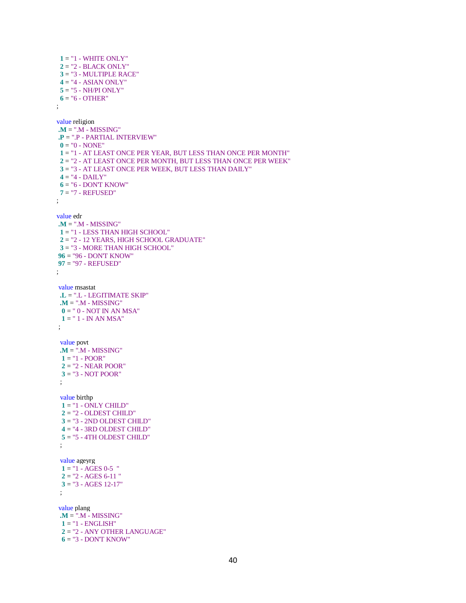**1** = "1 - WHITE ONLY" **2** = "2 - BLACK ONLY" **3** = "3 - MULTIPLE RACE" **4** = "4 - ASIAN ONLY" **5** = "5 - NH/PI ONLY"  $6 = "6 - OTHER"$ ; value religion **.M** = ".M - MISSING" **.P** = ".P - PARTIAL INTERVIEW"  $0 = "0 - NONE"$  **1** = "1 - AT LEAST ONCE PER YEAR, BUT LESS THAN ONCE PER MONTH" **2** = "2 - AT LEAST ONCE PER MONTH, BUT LESS THAN ONCE PER WEEK" **3** = "3 - AT LEAST ONCE PER WEEK, BUT LESS THAN DAILY"  $4 = "4 - DAILY"$  **6** = "6 - DON'T KNOW" **7** = "7 - REFUSED" ; value edr **.M** = ".M - MISSING" **1** = "1 - LESS THAN HIGH SCHOOL" **2** = "2 - 12 YEARS, HIGH SCHOOL GRADUATE" **3** = "3 - MORE THAN HIGH SCHOOL" **96** = "96 - DON'T KNOW" **97** = "97 - REFUSED" ; value msastat **.L** = ".L - LEGITIMATE SKIP" **.M** = ".M - MISSING"  $0 = " 0 - NOT IN AN MSA"$  **1** = " 1 - IN AN MSA" ; value povt **.M** = ".M - MISSING"  $1 = "1 - POOR"$  **2** = "2 - NEAR POOR" **3** = "3 - NOT POOR" ; value birthp **1** = "1 - ONLY CHILD"  $2 = "2$  - OLDEST CHILD" **3** = "3 - 2ND OLDEST CHILD" **4** = "4 - 3RD OLDEST CHILD" **5** = "5 - 4TH OLDEST CHILD" ; value ageyrg  $1 = "1 - AGES 0-5"$  **2** = "2 - AGES 6-11 " **3** = "3 - AGES 12-17" ; value plang **.M** = ".M - MISSING" **1** = "1 - ENGLISH" **2** = "2 - ANY OTHER LANGUAGE" **6** = "3 - DON'T KNOW"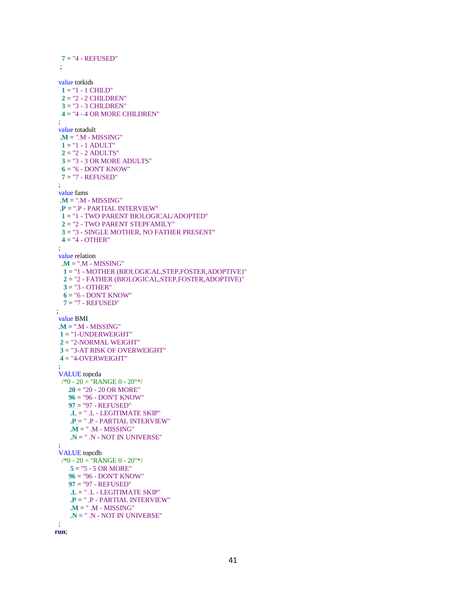**7** = "4 - REFUSED" ; value totkids  $1 = "1 - 1$  CHILD" **2** = "2 - 2 CHILDREN" **3** = "3 - 3 CHILDREN" **4** = "4 - 4 OR MORE CHILDREN" ; value totadult **.M** = ".M - MISSING" **1** = "1 - 1 ADULT" **2** = "2 - 2 ADULTS" **3** = "3 - 3 OR MORE ADULTS"  $6 = "6 - DONT KNOW"$  **7** = "7 - REFUSED" ; value fams **.M** = ".M - MISSING" **.P** = ".P - PARTIAL INTERVIEW" **1** = "1 - TWO PARENT BIOLOGICAL/ADOPTED" **2** = "2 - TWO PARENT STEPFAMILY" **3** = "3 - SINGLE MOTHER, NO FATHER PRESENT"  $4 = 4 - OPTHER''$  ; value relation **.M** = ".M - MISSING" **1** = "1 - MOTHER (BIOLOGICAL,STEP,FOSTER,ADOPTIVE)" **2** = "2 - FATHER (BIOLOGICAL,STEP,FOSTER,ADOPTIVE)" **3** = "3 - OTHER" **6** = "6 - DON'T KNOW" **7** = "7 - REFUSED" ; value BMI **.M** = ".M - MISSING" **1** = "1-UNDERWEIGHT" **2** = "2-NORMAL WEIGHT" **3** = "3-AT RISK OF OVERWEIGHT" **4** = "4-OVERWEIGHT" ; VALUE topcda /\*0 - 20 = "RANGE 0 - 20"\*/ **20** = "20 - 20 OR MORE" **96** = "96 - DON'T KNOW" **97** = "97 - REFUSED" **.L** = " .L - LEGITIMATE SKIP" **.P** = " .P - PARTIAL INTERVIEW" **.M** = " .M - MISSING" **.N** = " .N - NOT IN UNIVERSE" ; VALUE topcdb /\*0 - 20 = "RANGE 0 - 20"\*/ **5** = "5 - 5 OR MORE" **96** = "96 - DON'T KNOW" **97** = "97 - REFUSED" **.L** = " .L - LEGITIMATE SKIP" **.P** = " .P - PARTIAL INTERVIEW" **.M** = " .M - MISSING" **.N** = " .N - NOT IN UNIVERSE" ;

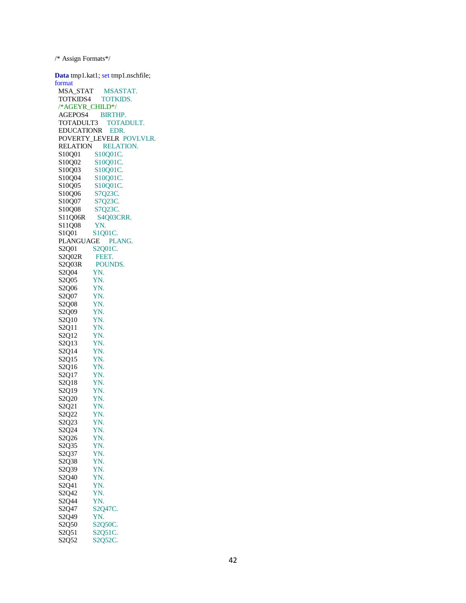/\* Assign Formats\*/

**Data** tmp1.kat1; set tmp1.nschfile; format MSA\_STAT MSASTAT. TOTKIDS4 TOTKIDS. /\*AGEYR\_CHILD\*/ AGEPOS4 BIRTHP. TOTADULT3 TOTADULT. EDUCATIONR EDR. POVERTY\_LEVELR POVLVLR. RELATION RELATION. S10Q01 S10Q01C. S10Q02 S10Q01C. S10Q03 S10Q01C. S10Q04 S10Q01C.<br>S10Q05 S10Q01C. S10Q05 S10Q01C.<br>S10Q06 S7Q23C. S10Q06 S7Q23C.<br>S10Q07 S7Q23C. S7Q23C.<br>S7Q23C. S10Q08<br>S11Q06R S4Q03CRR. S11Q08 YN. S1Q01 S1Q01C. PLANGUAGE PLANG. S2Q01 S2Q01C. S2Q02R FEET. S2Q03R POUNDS. S2Q04 YN.<br>S2Q05 YN. S2Q05 YN.<br>S2Q06 YN. S2Q06 S2Q07 YN.<br>S2O08 YN. S2Q08 S2Q09 YN. S2Q10 YN. S2Q11 YN. S2Q12 YN. S2Q13 YN. S2Q14 YN. S2Q15 YN. S2Q16 YN. S2Q17 YN.<br>S2O18 YN. S2Q18 S2Q19 YN. S2Q20 YN. S2Q21 YN. S2Q22 YN. S2Q23 YN. S2Q24 YN. S2Q26 YN. S2Q35 YN. S2Q37 YN. S2Q38 YN. S2Q39 YN.<br>S2Q40 YN. S2Q40 YN.<br>S2Q41 YN. S2Q41 S2Q42 YN. S2Q44 YN. S2Q47 S2Q47C. S2Q49 YN. S2Q50 S2Q50C. S2Q51 S2Q51C. S2Q52 S2Q52C.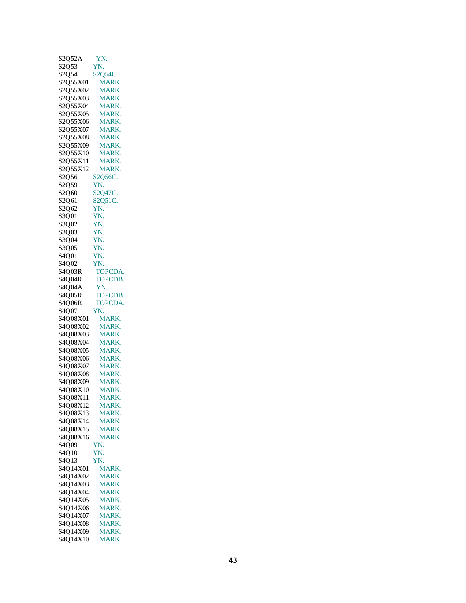| S2Q52A                         | YN.            |
|--------------------------------|----------------|
| S2Q53                          | YN.            |
|                                |                |
| S <sub>2</sub> O <sub>54</sub> | S2Q54C.        |
| S2Q55X01                       | MARK.          |
|                                |                |
| S2Q55X02                       | MARK.          |
| S2Q55X03                       | MARK.          |
|                                |                |
| S2Q55X04                       | <b>MARK.</b>   |
| S2Q55X05                       | <b>MARK.</b>   |
| S2Q55X06                       |                |
|                                | MARK.          |
| S2Q55X07                       | MARK.          |
| S2O55X08                       | MARK.          |
|                                |                |
| S2Q55X09                       | MARK.          |
| S2Q55X10                       | <b>MARK.</b>   |
|                                |                |
| S2Q55X11                       | MARK.          |
| S2Q55X12                       | MARK.          |
|                                |                |
| S2Q56                          | S2Q56C.        |
| S <sub>2</sub> Q <sub>59</sub> | YN.            |
|                                |                |
| S2Q60                          | S2Q47C.        |
| S2Q61                          | S2Q51C.        |
| S2Q62                          | YN.            |
|                                |                |
| S3Q01                          | YN.            |
| S3O02                          | YN.            |
|                                |                |
| S3Q03                          | YN.            |
| S3O04                          | YN.            |
|                                |                |
| S3Q05                          | YN.            |
| S4Q01                          | YN.            |
|                                |                |
| S4Q02                          | YN.            |
| S4Q03R                         | TOPCDA.        |
|                                |                |
| S4O04R                         | TOPCDB.        |
| S4Q04A                         | YN.            |
|                                |                |
| S4O05R                         | TOPCDB.        |
|                                |                |
|                                |                |
| S4Q06R                         | <b>TOPCDA.</b> |
| S4O07                          | YN.            |
| S4Q08X01                       | MARK.          |
|                                |                |
| S4O08X02                       | MARK.          |
| S4O08X03                       | MARK.          |
|                                |                |
| S4Q08X04                       | MARK.          |
| S4O08X05                       | MARK.          |
|                                |                |
| S4Q08X06                       | MARK.          |
| S4O08X07                       | <b>MARK.</b>   |
|                                |                |
| S4O08X08                       | <b>MARK.</b>   |
| S4O08X09                       | MARK.          |
|                                |                |
| S4Q08X10                       | MARK.          |
| S4Q08X11                       | MARK.          |
| S4Q08X12                       | MARK.          |
|                                |                |
| S4Q08X13                       | <b>MARK.</b>   |
| S4Q08X14                       | MARK.          |
|                                |                |
| S4Q08X15                       | MARK.          |
| S4O08X16                       | <b>MARK.</b>   |
|                                |                |
| S4Q09                          | YN.            |
| S <sub>4</sub> O <sub>10</sub> | YN.            |
| S4Q13                          | YN.            |
|                                |                |
| S4Q14X01                       | MARK.          |
| S4Q14X02                       | MARK.          |
|                                |                |
| S4Q14X03                       | MARK.          |
| S4Q14X04                       | MARK.          |
|                                |                |
| S4Q14X05                       | <b>MARK</b>    |
| S4Q14X06                       | MARK.          |
|                                |                |
| S4Q14X07                       | MARK.          |
| S4Q14X08                       | MARK.          |
| S4Q14X09                       | MARK.          |
| S4Q14X10                       | MARK.          |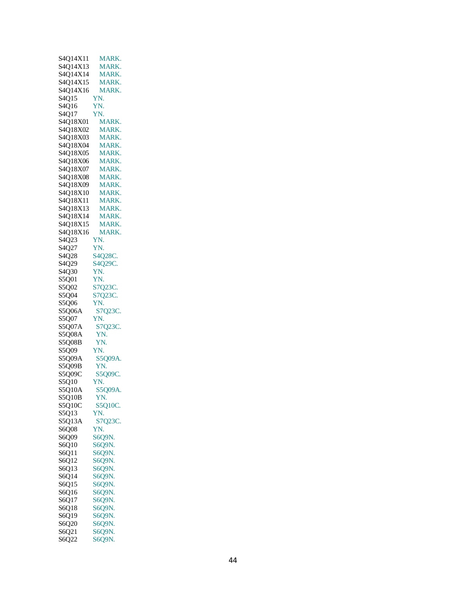| S4Q14X11                       | MARK.        |
|--------------------------------|--------------|
|                                |              |
| S4Q14X13                       | MARK.        |
| S4Q14X14                       | <b>MARK.</b> |
|                                |              |
| S4Q14X15                       | MARK.        |
| S4O14X16                       | MARK.        |
|                                |              |
| S <sub>4</sub> O <sub>15</sub> | YN.          |
| S <sub>4</sub> O <sub>16</sub> | YN.          |
|                                |              |
| S4Q17                          | YN.          |
| S4Q18X01                       | <b>MARK.</b> |
|                                |              |
| S4Q18X02                       | MARK.        |
| S4O18X03                       | <b>MARK</b>  |
|                                |              |
| S4Q18X04                       | MARK.        |
| S4Q18X05                       | MARK.        |
|                                |              |
| S4Q18X06                       | <b>MARK.</b> |
| S4Q18X07                       | MARK.        |
|                                |              |
| S4O18X08                       | <b>MARK.</b> |
| S4Q18X09                       | MARK.        |
|                                |              |
| S4Q18X10                       | <b>MARK.</b> |
| S4Q18X11                       | MARK.        |
|                                |              |
| S4Q18X13                       | MARK.        |
| S4Q18X14                       | MARK.        |
|                                |              |
| S4Q18X15                       | <b>MARK</b>  |
| S4O18X16                       | MARK.        |
|                                |              |
| S4Q23                          | YN.          |
| S4Q27                          | YN.          |
| S4O28                          | S4Q28C.      |
|                                |              |
| S4Q29                          | S4Q29C.      |
| S4Q30                          | YN.          |
| S5001                          | YN.          |
|                                |              |
| S5O02                          | S7Q23C.      |
| S5Q04                          | S7Q23C.      |
| S5Q06                          | YN.          |
| S5Q06A                         | S7Q23C.      |
|                                |              |
| S5Q07                          | YN.          |
| S5Q07A                         | S7Q23C.      |
| S5Q08A                         | YN.          |
| S5Q08B                         | YN.          |
|                                |              |
| S5Q09                          | YN.          |
| S5Q09A                         | S5Q09A.      |
| <b>S5O09B</b>                  | YN.          |
| S5Q09C                         | S5Q09C.      |
|                                |              |
| S5Q10                          | YN.          |
| S5Q10A                         | S5Q09A.      |
| S5Q10B                         | YN.          |
| S5Q10C                         | S5Q10C.      |
|                                |              |
| S5Q13                          | YN.          |
| S5Q13A                         | S7Q23C.      |
| S6Q08                          | YN.          |
|                                |              |
| S6Q09                          | S6Q9N.       |
| S6Q10                          | S6Q9N.       |
| S6Q11                          | S6Q9N.       |
|                                |              |
| S6Q12                          | S6Q9N.       |
| S6Q13                          | S6Q9N.       |
| S6Q14                          | S6Q9N.       |
|                                |              |
| S6Q15                          | S6Q9N.       |
| S6Q16                          | S6Q9N.       |
|                                |              |
| S6Q17                          | S6Q9N.       |
| S6Q18                          | S6Q9N.       |
| S6Q19                          | S6Q9N.       |
| S6Q20                          | S6Q9N.       |
|                                | S6Q9N.       |
| S6Q21                          |              |
| S6Q22                          | S6Q9N.       |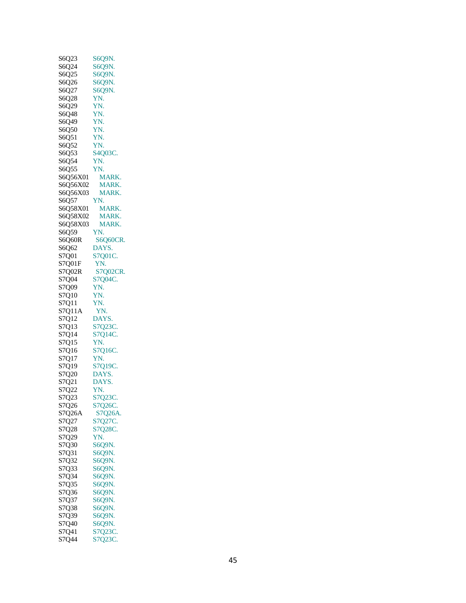| S6Q23          | S6Q9N.            |
|----------------|-------------------|
|                |                   |
| S6Q24          | S6Q9N.            |
| S6O25          | S6Q9N.            |
| S6Q26          | S6Q9N.            |
|                |                   |
| S6Q27          | S6Q9N.            |
| S6Q28          | YN.               |
|                |                   |
| S6Q29          | YN.               |
| S6Q48          | YN.               |
| S6Q49          | YN.               |
|                |                   |
| S6Q50          | YN.               |
| S6Q51          | YN.               |
|                |                   |
| S6Q52          | YN.               |
| S6Q53          | S4Q03C.           |
| S6O54          | YN.               |
|                |                   |
| S6Q55          | YN.               |
| S6Q56X01       | MARK.             |
|                |                   |
| S6Q56X02       | MARK.             |
| S6Q56X03       | MARK.             |
|                |                   |
| S6Q57          | YN.               |
| S6Q58X01       | MARK.             |
| S6Q58X02       | MARK.             |
|                |                   |
| S6O58X03       | MARK.             |
| S6Q59          | YN.               |
|                |                   |
| S6Q60R         | <b>S6O60CR.</b>   |
| S6Q62          | DAYS.             |
| S7Q01          | S7Q01C.           |
|                |                   |
| S7Q01F         | YN.               |
| S7Q02R         | S7Q02CR.          |
|                |                   |
| S7Q04          | S7Q04C.           |
| S7Q09          | YN.               |
| S7Q10          |                   |
|                | YN.               |
| S7Q11          | YN.               |
|                |                   |
|                |                   |
| S7Q11A         | YN.               |
| S7Q12          | DAYS.             |
|                |                   |
| S7Q13          | S7Q23C.           |
| S7Q14          | S7Q14C.           |
| S7Q15          | YN.               |
|                |                   |
| S7Q16          | S7Q16C.           |
| S7Q17          | YN.               |
|                |                   |
| S7Q19          | S7Q19C.           |
| S7Q20          | DAYS.             |
| S7Q21          | DAYS.             |
|                |                   |
| S7Q22          | YN.               |
| S7Q23          | S7Q23C.           |
| S7Q26          | S7Q26C.           |
|                |                   |
| S7Q26A         | S7Q26A.           |
| S7Q27          | S7Q27C.           |
|                |                   |
| S7Q28          | S7Q28C.           |
| S7Q29          | YN.               |
| S7Q30          | S6Q9N.            |
|                |                   |
| S7Q31          | S609N.            |
| S7Q32          | S6Q9N.            |
| S7Q33          | S6Q9N.            |
|                |                   |
| S7Q34          | S6O9N.            |
| S7Q35          | S6Q9N.            |
|                |                   |
| S7Q36          | S6Q9N.            |
| S7Q37          | S6Q9N.            |
| S7Q38          | S6Q9N.            |
|                |                   |
| S7Q39          | S6Q9N.            |
| S7Q40          | S6Q9N.            |
|                |                   |
| S7Q41<br>S7Q44 | S7Q23C<br>S7Q23C. |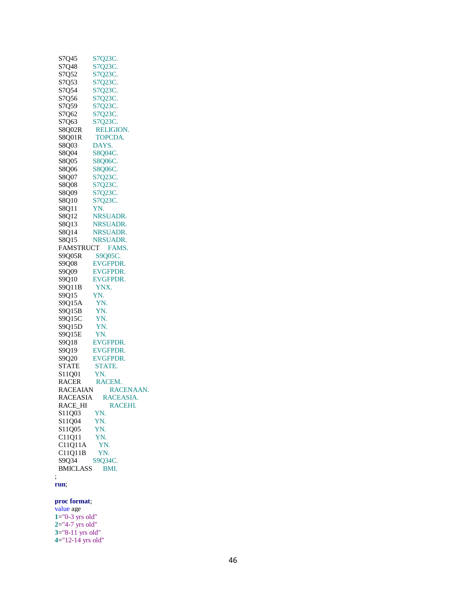| S7Q45           | S7Q23C.         |
|-----------------|-----------------|
| S7Q48           | S7Q23C.         |
| S7Q52           | S7Q23C          |
| S7Q53           | S7Q23C.         |
| S7Q54           | S7Q23C.         |
| S7Q56           | S7Q23C          |
| S7Q59           | S7Q23C.         |
|                 |                 |
| S7Q62           | S7Q23C.         |
| S7Q63           | S7Q23C.         |
| S8Q02R          | RELIGION.       |
| S8Q01R          | <b>TOPCDA.</b>  |
| S8Q03           | DAYS.           |
| S8Q04           | S8Q04C.         |
| S8Q05           | <b>S8Q06C</b>   |
| S8Q06           | S8Q06C.         |
| S8Q07           | S7Q23C.         |
| S8Q08           | S7Q23C.         |
| S8Q09           | S7Q23C.         |
| S8Q10           | S7Q23C.         |
| S8Q11           | YN.             |
| S8Q12           | NRSUADR.        |
| S8Q13           | NRSUADR.        |
| S8Q14           | NRSUADR.        |
|                 |                 |
| S8Q15           | NRSUADR.        |
|                 | FAMSTRUCT FAMS. |
| S9Q05R S9Q05C.  |                 |
| S9Q08           | EVGFPDR.        |
| S9Q09           | <b>EVGFPDR.</b> |
| S9Q10           | <b>EVGFPDR.</b> |
| S9Q11B          | YNX.            |
| S9Q15           | YN.             |
| S9Q15A          | YN.             |
| S9Q15B          | YN.             |
| S9Q15C          | YN.             |
| S9Q15D          | YN.             |
| S9Q15E          | YN.             |
| S9Q18           | EVGFPDR.        |
| S9Q19           | <b>EVGFPDR.</b> |
| S9Q20           | <b>EVGFPDR.</b> |
| <b>STATE</b>    | STATE.          |
| S11Q01          | YN.             |
| RACER           | RACEM.          |
| <b>RACEAIAN</b> | RACENAAN.       |
| <b>RACEASIA</b> | RACEASIA.       |
| RACE_HI         | RACEHI.         |
| S11Q03          | YN.             |
| S11Q04          | YN.             |
| S11Q05          | YN.             |
| C11Q11          | YN.             |
| C11Q11A         | YN.             |
| C11Q11B         | YN.             |
| S9Q34           | S9Q34C.         |
| <b>BMICLASS</b> | BMI.            |
| ;               |                 |
|                 |                 |

#### **run** ;

**proc format** ; value age ="0-3 yrs old" ="4-7 yrs old" ="8-11 yrs old" ="12-14 yrs old"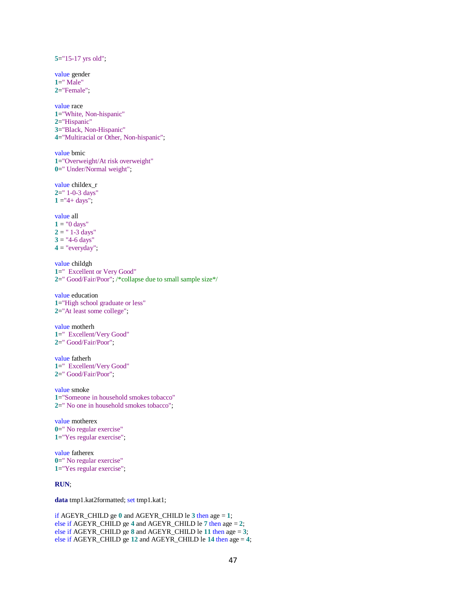**5**="15-17 yrs old"; value gender **1**=" Male" **2**="Female"; value race **1**="White, Non-hispanic" **2**="Hispanic" **3**="Black, Non-Hispanic" **4**="Multiracial or Other, Non-hispanic"; value bmic **1**="Overweight/At risk overweight" **0**=" Under/Normal weight"; value childex\_r **2**=" 1-0-3 days"  $1 = 4 + \text{days}$ "; value all  $1 = "0 days"$  $2 =$  "1-3 days"  $3 =$  "4-6 days"  $4 =$  "everyday"; value childgh **1**=" Excellent or Very Good" **2**=" Good/Fair/Poor"; /\*collapse due to small sample size\*/ value education **1**="High school graduate or less" **2**="At least some college"; value motherh **1**=" Excellent/Very Good" **2**=" Good/Fair/Poor"; value fatherh **1**=" Excellent/Very Good" **2**=" Good/Fair/Poor"; value smoke **1**="Someone in household smokes tobacco" **2**=" No one in household smokes tobacco"; value motherex **0**=" No regular exercise" **1**="Yes regular exercise"; value fatherex **0**=" No regular exercise" **1**="Yes regular exercise"; **RUN**;

**data** tmp1.kat2formatted; set tmp1.kat1;

```
if AGEYR_CHILD ge 0 and AGEYR_CHILD le 3 then age = 1;
else if AGEYR_CHILD ge 4 and AGEYR_CHILD le 7 then age = 2;
else if AGEYR_CHILD ge 8 and AGEYR_CHILD le 11 then age = 3;
else if AGEYR_CHILD ge 12 and AGEYR_CHILD le 14 then age = 4;
```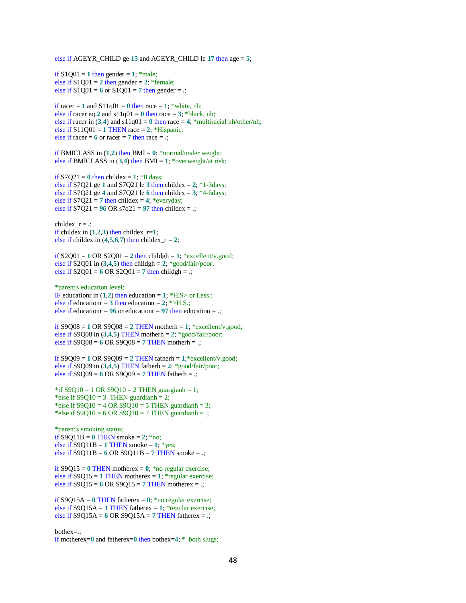else if AGEYR\_CHILD ge **15** and AGEYR\_CHILD le **17** then age = **5**;

if  $S1001 = 1$  then gender = 1; \*male; else if  $S1Q01 = 2$  then gender = 2; \*female; else if  $S1Q01 = 6$  or  $S1Q01 = 7$  then gender =  $\therefore$ 

if racer  $= 1$  and  $S11q01 = 0$  then race  $= 1$ ; \*white, nh; else if racer eq 2 and  $s11q01 = 0$  then race = 3; \*black, nh; else if racer in  $(3,4)$  and  $s11q01 = 0$  then race  $= 4$ ; \*multiracial nh/other/nh; else if  $S11Q01 = 1$  THEN race = 2; \*Hispanic; else if racer  $= 6$  or racer  $= 7$  then race  $=$   $\therefore$ 

if BMICLASS in  $(1,2)$  then BMI =  $0$ : \*normal/under weight; else if BMICLASS in  $(3,4)$  then BMI = 1; \*overweight/at risk;

if  $S7Q21 = 0$  then childex = 1;  $*0$  days; else if S7Q21 ge 1 and S7Q21 le  $3$  then childex =  $2$ ;  $*1-3$ days; else if S7Q21 ge 4 and S7Q21 le  $6$  then childex = 3;  $*4$ -6days; else if  $S7Q21 = 7$  then childex = 4; \*everyday; else if  $S7Q21 = 96 \text{ OR } s7q21 = 97 \text{ then children}$ 

childex\_ $r =$ .; if childex in  $(1,2,3)$  then childex\_r=1; else if childex in  $(4,5,6,7)$  then childex\_r = 2;

if  $S2Q01 = 1$  OR  $S2Q01 = 2$  then childgh = 1; \*excellent/v.good; else if S2Q01 in  $(3,4,5)$  then childgh = 2; \*good/fair/poor; else if  $S2Q01 = 6$  OR  $S2Q01 = 7$  then childgh =  $\cdot$ ;

\*parent's education level; IF educationr in  $(1,2)$  then education = 1;  $*H.S>$  or Less.; else if education =  $3$  then education =  $2$ ; \*>H.S.; else if educationr =  $96$  or educationr =  $97$  then education =  $\cdot$ ;

if  $S9Q08 = 1$  OR  $S9Q08 = 2$  THEN motherh = 1; \*excellent/v.good; else if S9Q08 in  $(3,4,5)$  THEN motherh = 2; \*good/fair/poor; else if S9Q08 = **6** OR S9Q08 = **7** THEN motherh = **.**;

if  $S9Q09 = 1$  OR  $S9Q09 = 2$  THEN fatherh = 1;\*excellent/v.good; else if S9009 in  $(3,4,5)$  THEN fatherh = 2;  $*$ good/fair/poor; else if S9Q09 = **6** OR S9Q09 = **7** THEN fatherh = **.**;

\*if  $S9Q10 = 1$  OR  $S9Q10 = 2$  THEN guargianh = 1; \*else if  $S9Q10 = 3$  THEN guardianh = 2; \*else if  $S9Q10 = 4 \text{ OR } S9Q10 = 5 \text{ THEN }$  guardianh = 3; \*else if  $S9Q10 = 6$  OR  $S9Q10 = 7$  THEN guardianh = .;

\*parent's smoking status; if  $\text{S9Q11B} = 0$  THEN smoke = 2; \*no; else if  $S9O11B = 1$  THEN smoke = 1; \*yes; else if S9Q11B = **6** OR S9Q11B = **7** THEN smoke = **.**;

if  $\text{S9O15} = 0$  THEN motherex = 0;  $*$ no regular exercise; else if  $S9O15 = 1$  THEN motherex = 1; \*regular exercise; else if  $S9O15 = 6$  OR  $S9O15 = 7$  THEN motherex =  $\therefore$ 

if  $\text{SQ15A} = 0$  THEN fatherex = 0; \*no regular exercise; else if  $SQ15A = 1$  THEN fatherex = 1; \*regular exercise; else if S9Q15A = **6** OR S9Q15A = **7** THEN fatherex = **.**;

bothex=**.**;

if motherex=**0** and fatherex=**0** then bothex=**4**; \* both slugs;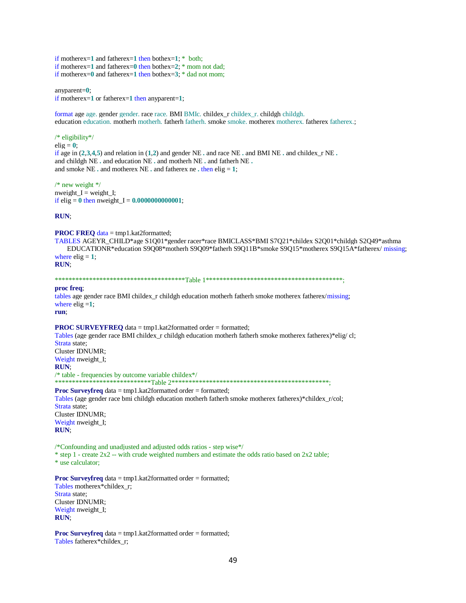if motherex=**1** and fatherex=**1** then bothex=**1**; \* both; if motherex=**1** and fatherex=**0** then bothex=**2**; \* mom not dad; if motherex=**0** and fatherex=**1** then bothex=**3**; \* dad not mom;

anyparent=**0**; if motherex=**1** or fatherex=**1** then anyparent=**1**;

format age age. gender gender. race race. BMI BMIc. childex\_r childex\_r. childgh childgh. education education. motherh motherh. fatherh fatherh. smoke smoke. motherex motherex. fatherex fatherex.;

#### /\* eligibility\*/  $elig = 0;$ if age in  $(2,3,4,5)$  and relation in  $(1,2)$  and gender NE  $\cdot$  and race NE  $\cdot$  and BMI NE  $\cdot$  and childex  $\cdot$  NE  $\cdot$ and childgh NE **.** and education NE **.** and motherh NE **.** and fatherh NE **.** and smoke NE  $\cdot$  and motherex NE  $\cdot$  and fatherex ne  $\cdot$  then elig = 1;

/\* new weight \*/  $nweight_I = weight_I;$ if elig = 0 then nweight\_I =  $0.0000000000001$ ;

**RUN**;

**PROC FREQ** data = tmp1.kat2formatted;

TABLES AGEYR\_CHILD\*age S1Q01\*gender racer\*race BMICLASS\*BMI S7Q21\*childex S2Q01\*childgh S2Q49\*asthma EDUCATIONR\*education S9Q08\*motherh S9Q09\*fatherh S9Q11B\*smoke S9Q15\*motherex S9Q15A\*fatherex/ missing; where  $\text{elig} = 1$ ; **RUN**;

\*\*\*\*\*\*\*\*\*\*\*\*\*\*\*\*\*\*\*\*\*\*\*\*\*\*\*\*\*\*\*\*\*\*\*\*\*\*Table 1\*\*\*\*\*\*\*\*\*\*\*\*\*\*\*\*\*\*\*\*\*\*\*\*\*\*\*\*\*\*\*\*\*\*\*\*\*\*\*\*;

#### **proc freq**;

tables age gender race BMI childex\_r childgh education motherh fatherh smoke motherex fatherex/missing; where  $\text{elig} = 1$ ;

**run**;

#### **PROC SURVEYFREQ** data = tmp1.kat2formatted order = formatted; Tables (age gender race BMI childex\_r childgh education motherh fatherh smoke motherex fatherex)\*elig/ cl; Strata state; Cluster IDNUMR; Weight nweight\_I; **RUN**; /\* table - frequencies by outcome variable childex\*/ \*\*\*\*\*\*\*\*\*\*\*\*\*\*\*\*\*\*\*\*\*\*\*\*\*\*\*\*Table 2\*\*\*\*\*\*\*\*\*\*\*\*\*\*\*\*\*\*\*\*\*\*\*\*\*\*\*\*\*\*\*\*\*\*\*\*\*\*\*\*\*\*\*\*\*\*;

**Proc Surveyfreq** data = tmp1.kat2formatted order = formatted; Tables (age gender race bmi childgh education motherh fatherh smoke motherex fatherex)\*childex\_r/col; Strata state; Cluster IDNUMR; Weight nweight\_I; **RUN**;

/\*Confounding and unadjusted and adjusted odds ratios - step wise\*/  $*$  step 1 - create  $2x^2$  -- with crude weighted numbers and estimate the odds ratio based on  $2x^2$  table; \* use calculator;

**Proc Surveyfreq** data = tmp1.kat2formatted order = formatted; Tables motherex\*childex\_r; Strata state; Cluster IDNUMR; Weight nweight I; **RUN**;

**Proc Surveyfreq** data = tmp1.kat2formatted order = formatted; Tables fatherex\*childex\_r;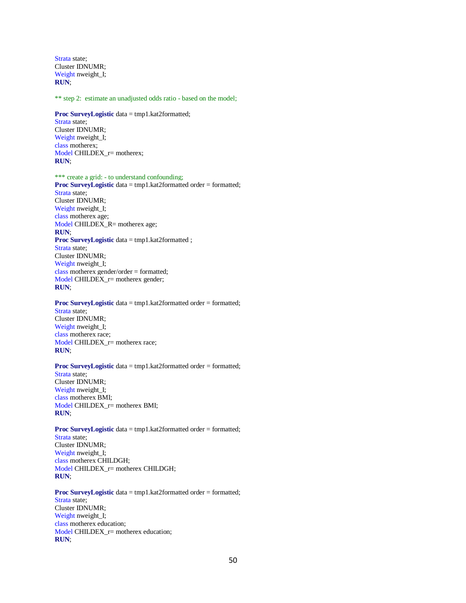Strata state; Cluster IDNUMR; Weight nweight I; **RUN**;

\*\* step 2: estimate an unadjusted odds ratio - based on the model;

**Proc SurveyLogistic** data = tmp1.kat2formatted; Strata state; Cluster IDNUMR; Weight nweight\_I; class motherex; Model CHILDEX  $r=$  motherex;

**RUN**;

\*\*\* create a grid: - to understand confounding; **Proc SurveyLogistic** data = tmp1.kat2formatted order = formatted; Strata state; Cluster IDNUMR; Weight nweight\_I; class motherex age; Model CHILDEX\_R= motherex age; **RUN**; **Proc SurveyLogistic** data = tmp1.kat2formatted ; Strata state; Cluster IDNUMR; Weight nweight\_I; class motherex gender/order = formatted; Model CHILDEX\_r= motherex gender; **RUN**;

**Proc SurveyLogistic** data = tmp1.kat2formatted order = formatted; Strata state; Cluster IDNUMR; Weight nweight\_I; class motherex race; Model CHILDEX\_r= motherex race; **RUN**;

**Proc SurveyLogistic** data = tmp1.kat2formatted order = formatted; Strata state; Cluster IDNUMR; Weight nweight\_I; class motherex BMI; Model CHILDEX\_r= motherex BMI; **RUN**;

**Proc SurveyLogistic** data = tmp1.kat2formatted order = formatted; Strata state; Cluster IDNUMR; Weight nweight\_I; class motherex CHILDGH; Model CHILDEX\_r= motherex CHILDGH; **RUN**;

**Proc SurveyLogistic** data = tmp1.kat2formatted order = formatted; Strata state; Cluster IDNUMR; Weight nweight\_I; class motherex education; Model CHILDEX\_r= motherex education; **RUN**;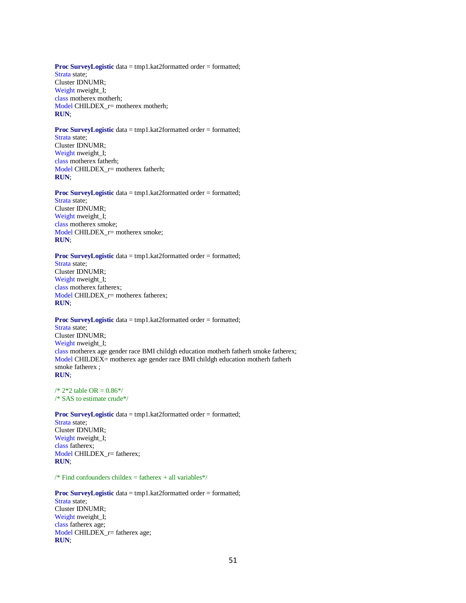#### **Proc SurveyLogistic** data = tmp1.kat2formatted order = formatted; Strata state; Cluster IDNUMR; Weight nweight I; class motherex motherh; Model CHILDEX  $r=$  motherex motherh; **RUN**;

#### **Proc SurveyLogistic** data = tmp1.kat2formatted order = formatted;

Strata state; Cluster IDNUMR; Weight nweight\_I; class motherex fatherh; Model CHILDEX  $r=$  motherex fatherh; **RUN**;

#### **Proc SurveyLogistic** data = tmp1.kat2formatted order = formatted;

Strata state; Cluster IDNUMR; Weight nweight\_I; class motherex smoke; Model CHILDEX\_r= motherex smoke; **RUN**;

#### **Proc SurveyLogistic** data = tmp1.kat2formatted order = formatted;

Strata state; Cluster IDNUMR; Weight nweight I; class motherex fatherex; Model CHILDEX  $r=$  motherex fatherex; **RUN**;

#### **Proc SurveyLogistic** data = tmp1.kat2formatted order = formatted; Strata state; Cluster IDNUMR; Weight nweight\_I; class motherex age gender race BMI childgh education motherh fatherh smoke fatherex; Model CHILDEX= motherex age gender race BMI childgh education motherh fatherh

**RUN**;  $/* 2*2$  table OR = 0.86\*/

smoke fatherex ;

/\* SAS to estimate crude\*/

**Proc SurveyLogistic** data = tmp1.kat2formatted order = formatted; Strata state; Cluster IDNUMR; Weight nweight I; class fatherex; Model CHILDEX\_r= fatherex; **RUN**;

 $/*$  Find confounders childex = fatherex + all variables\*/

#### **Proc SurveyLogistic** data = tmp1.kat2formatted order = formatted; Strata state; Cluster IDNUMR; Weight nweight\_I; class fatherex age; Model CHILDEX\_r= fatherex age; **RUN**;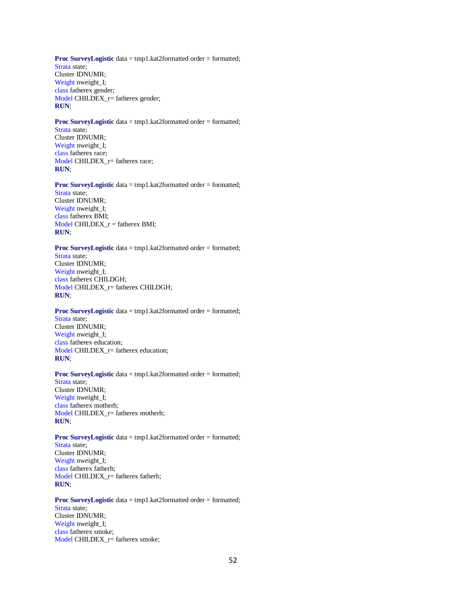**Proc SurveyLogistic** data = tmp1.kat2formatted order = formatted; Strata state; Cluster IDNUMR; Weight nweight I; class fatherex gender; Model CHILDEX  $r=$  fatherex gender; **RUN**;

# **Proc SurveyLogistic** data = tmp1.kat2formatted order = formatted;

Strata state; Cluster IDNUMR; Weight nweight\_I; class fatherex race; Model CHILDEX  $r=$  fatherex race; **RUN**;

# **Proc SurveyLogistic** data = tmp1.kat2formatted order = formatted;

Strata state; Cluster IDNUMR; Weight nweight\_I; class fatherex BMI; Model CHILDEX\_r = fatherex BMI; **RUN**;

#### **Proc SurveyLogistic** data = tmp1.kat2formatted order = formatted;

Strata state; Cluster IDNUMR; Weight nweight I; class fatherex CHILDGH; Model CHILDEX  $r=$  fatherex CHILDGH; **RUN**;

#### **Proc SurveyLogistic** data = tmp1.kat2formatted order = formatted; Strata state; Cluster IDNUMR; Weight nweight\_I; class fatherex education; Model CHILDEX\_r= fatherex education;

#### **RUN**;

#### **Proc SurveyLogistic** data = tmp1.kat2formatted order = formatted;

Strata state; Cluster IDNUMR; Weight nweight\_I; class fatherex motherh; Model CHILDEX\_r= fatherex motherh; **RUN**;

#### **Proc SurveyLogistic** data = tmp1.kat2formatted order = formatted; Strata state; Cluster IDNUMR; Weight nweight\_I; class fatherex fatherh; Model CHILDEX\_r= fatherex fatherh;

**RUN**;

#### **Proc SurveyLogistic** data = tmp1.kat2formatted order = formatted; Strata state; Cluster IDNUMR; Weight nweight\_I; class fatherex smoke; Model CHILDEX\_r= fatherex smoke;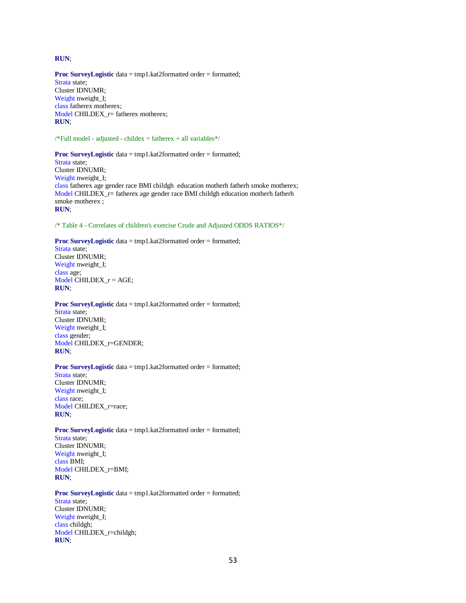#### **RUN**;

**Proc SurveyLogistic** data = tmp1.kat2formatted order = formatted; Strata state; Cluster IDNUMR; Weight nweight I; class fatherex motherex; Model CHILDEX\_r= fatherex motherex; **RUN**;

 $/*Full model - adjusted - children = father = x + all variables */$ 

#### **Proc SurveyLogistic** data = tmp1.kat2formatted order = formatted;

Strata state; Cluster IDNUMR; Weight nweight\_I; class fatherex age gender race BMI childgh education motherh fatherh smoke motherex; Model CHILDEX\_r= fatherex age gender race BMI childgh education motherh fatherh smoke motherex ; **RUN**;

/\* Table 4 - Correlates of children's exercise Crude and Adjusted ODDS RATIOS\*/

#### **Proc SurveyLogistic** data = tmp1.kat2formatted order = formatted;

Strata state; Cluster IDNUMR; Weight nweight\_I; class age; Model CHILDEX\_r = AGE; **RUN**;

#### **Proc SurveyLogistic** data = tmp1.kat2formatted order = formatted; Strata state;

Cluster IDNUMR; Weight nweight\_I; class gender; Model CHILDEX\_r=GENDER; **RUN**;

#### **Proc SurveyLogistic** data = tmp1.kat2formatted order = formatted;

Strata state; Cluster IDNUMR; Weight nweight\_I; class race; Model CHILDEX\_r=race; **RUN**;

#### **Proc SurveyLogistic** data = tmp1.kat2formatted order = formatted; Strata state;

Cluster IDNUMR; Weight nweight\_I; class BMI; Model CHILDEX\_r=BMI; **RUN**;

### **Proc SurveyLogistic** data = tmp1.kat2formatted order = formatted;

Strata state; Cluster IDNUMR; Weight nweight\_I; class childgh; Model CHILDEX\_r=childgh; **RUN**;